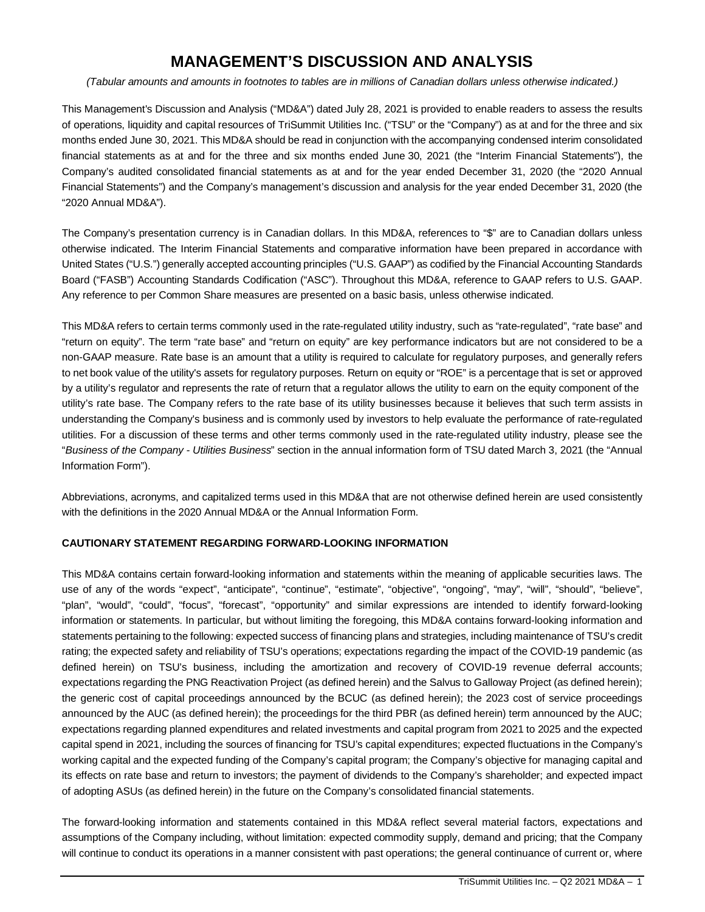# **MANAGEMENT'S DISCUSSION AND ANALYSIS**

*(Tabular amounts and amounts in footnotes to tables are in millions of Canadian dollars unless otherwise indicated.)*

This Management's Discussion and Analysis ("MD&A") dated July 28, 2021 is provided to enable readers to assess the results of operations, liquidity and capital resources of TriSummit Utilities Inc. ("TSU" or the "Company") as at and for the three and six months ended June 30, 2021. This MD&A should be read in conjunction with the accompanying condensed interim consolidated financial statements as at and for the three and six months ended June 30, 2021 (the "Interim Financial Statements"), the Company's audited consolidated financial statements as at and for the year ended December 31, 2020 (the "2020 Annual Financial Statements") and the Company's management's discussion and analysis for the year ended December 31, 2020 (the "2020 Annual MD&A").

The Company's presentation currency is in Canadian dollars. In this MD&A, references to "\$" are to Canadian dollars unless otherwise indicated. The Interim Financial Statements and comparative information have been prepared in accordance with United States ("U.S.") generally accepted accounting principles ("U.S. GAAP") as codified by the Financial Accounting Standards Board ("FASB") Accounting Standards Codification ("ASC"). Throughout this MD&A, reference to GAAP refers to U.S. GAAP. Any reference to per Common Share measures are presented on a basic basis, unless otherwise indicated.

This MD&A refers to certain terms commonly used in the rate-regulated utility industry, such as "rate-regulated", "rate base" and "return on equity". The term "rate base" and "return on equity" are key performance indicators but are not considered to be a non-GAAP measure. Rate base is an amount that a utility is required to calculate for regulatory purposes, and generally refers to net book value of the utility's assets for regulatory purposes. Return on equity or "ROE" is a percentage that is set or approved by a utility's regulator and represents the rate of return that a regulator allows the utility to earn on the equity component of the utility's rate base. The Company refers to the rate base of its utility businesses because it believes that such term assists in understanding the Company's business and is commonly used by investors to help evaluate the performance of rate-regulated utilities. For a discussion of these terms and other terms commonly used in the rate-regulated utility industry, please see the "*Business of the Company - Utilities Business*" section in the annual information form of TSU dated March 3, 2021 (the "Annual Information Form").

Abbreviations, acronyms, and capitalized terms used in this MD&A that are not otherwise defined herein are used consistently with the definitions in the 2020 Annual MD&A or the Annual Information Form.

# **CAUTIONARY STATEMENT REGARDING FORWARD-LOOKING INFORMATION**

This MD&A contains certain forward-looking information and statements within the meaning of applicable securities laws. The use of any of the words "expect", "anticipate", "continue", "estimate", "objective", "ongoing", "may", "will", "should", "believe", "plan", "would", "could", "focus", "forecast", "opportunity" and similar expressions are intended to identify forward-looking information or statements. In particular, but without limiting the foregoing, this MD&A contains forward-looking information and statements pertaining to the following: expected success of financing plans and strategies, including maintenance of TSU's credit rating; the expected safety and reliability of TSU's operations; expectations regarding the impact of the COVID-19 pandemic (as defined herein) on TSU's business, including the amortization and recovery of COVID-19 revenue deferral accounts; expectations regarding the PNG Reactivation Project (as defined herein) and the Salvus to Galloway Project (as defined herein); the generic cost of capital proceedings announced by the BCUC (as defined herein); the 2023 cost of service proceedings announced by the AUC (as defined herein); the proceedings for the third PBR (as defined herein) term announced by the AUC; expectations regarding planned expenditures and related investments and capital program from 2021 to 2025 and the expected capital spend in 2021, including the sources of financing for TSU's capital expenditures; expected fluctuations in the Company's working capital and the expected funding of the Company's capital program; the Company's objective for managing capital and its effects on rate base and return to investors; the payment of dividends to the Company's shareholder; and expected impact of adopting ASUs (as defined herein) in the future on the Company's consolidated financial statements.

The forward-looking information and statements contained in this MD&A reflect several material factors, expectations and assumptions of the Company including, without limitation: expected commodity supply, demand and pricing; that the Company will continue to conduct its operations in a manner consistent with past operations; the general continuance of current or, where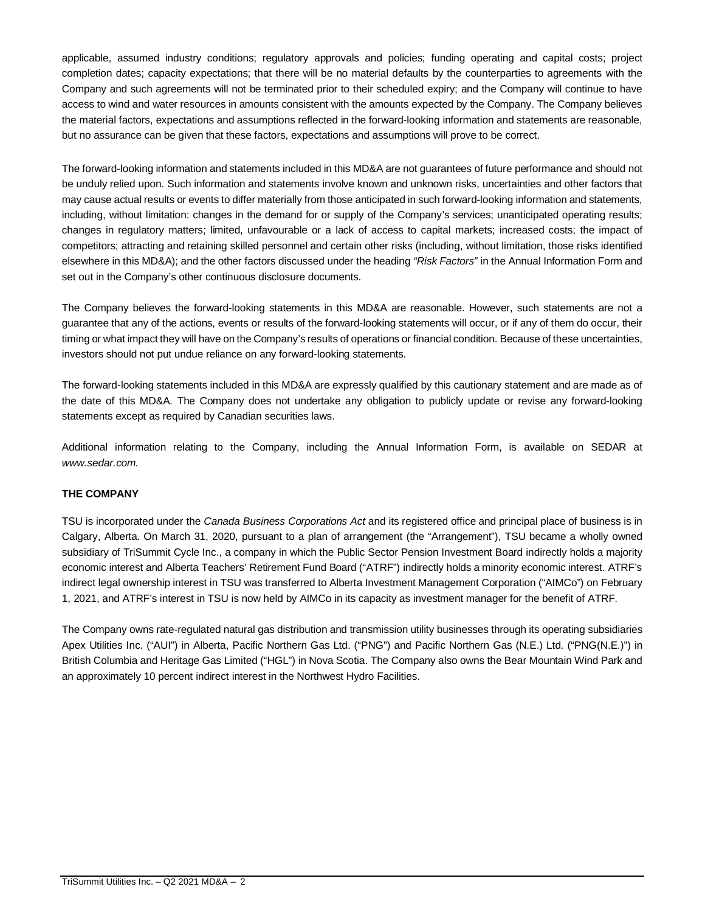applicable, assumed industry conditions; regulatory approvals and policies; funding operating and capital costs; project completion dates; capacity expectations; that there will be no material defaults by the counterparties to agreements with the Company and such agreements will not be terminated prior to their scheduled expiry; and the Company will continue to have access to wind and water resources in amounts consistent with the amounts expected by the Company. The Company believes the material factors, expectations and assumptions reflected in the forward-looking information and statements are reasonable, but no assurance can be given that these factors, expectations and assumptions will prove to be correct.

The forward-looking information and statements included in this MD&A are not guarantees of future performance and should not be unduly relied upon. Such information and statements involve known and unknown risks, uncertainties and other factors that may cause actual results or events to differ materially from those anticipated in such forward-looking information and statements, including, without limitation: changes in the demand for or supply of the Company's services; unanticipated operating results; changes in regulatory matters; limited, unfavourable or a lack of access to capital markets; increased costs; the impact of competitors; attracting and retaining skilled personnel and certain other risks (including, without limitation, those risks identified elsewhere in this MD&A); and the other factors discussed under the heading *"Risk Factors"* in the Annual Information Form and set out in the Company's other continuous disclosure documents.

The Company believes the forward-looking statements in this MD&A are reasonable. However, such statements are not a guarantee that any of the actions, events or results of the forward-looking statements will occur, or if any of them do occur, their timing or what impact they will have on the Company's results of operations or financial condition. Because of these uncertainties, investors should not put undue reliance on any forward-looking statements.

The forward-looking statements included in this MD&A are expressly qualified by this cautionary statement and are made as of the date of this MD&A. The Company does not undertake any obligation to publicly update or revise any forward-looking statements except as required by Canadian securities laws.

Additional information relating to the Company, including the Annual Information Form, is available on SEDAR at *www.sedar.com.*

# **THE COMPANY**

TSU is incorporated under the *Canada Business Corporations Act* and its registered office and principal place of business is in Calgary, Alberta. On March 31, 2020, pursuant to a plan of arrangement (the "Arrangement"), TSU became a wholly owned subsidiary of TriSummit Cycle Inc., a company in which the Public Sector Pension Investment Board indirectly holds a majority economic interest and Alberta Teachers' Retirement Fund Board ("ATRF") indirectly holds a minority economic interest. ATRF's indirect legal ownership interest in TSU was transferred to Alberta Investment Management Corporation ("AIMCo") on February 1, 2021, and ATRF's interest in TSU is now held by AIMCo in its capacity as investment manager for the benefit of ATRF.

The Company owns rate-regulated natural gas distribution and transmission utility businesses through its operating subsidiaries Apex Utilities Inc. ("AUI") in Alberta, Pacific Northern Gas Ltd. ("PNG") and Pacific Northern Gas (N.E.) Ltd. ("PNG(N.E.)") in British Columbia and Heritage Gas Limited ("HGL") in Nova Scotia. The Company also owns the Bear Mountain Wind Park and an approximately 10 percent indirect interest in the Northwest Hydro Facilities.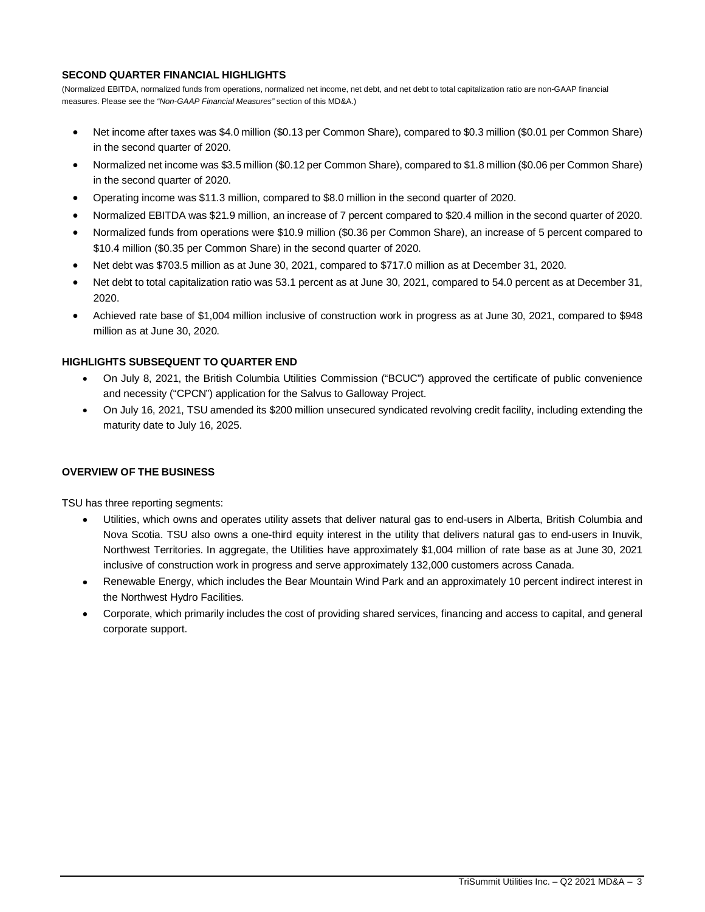#### **SECOND QUARTER FINANCIAL HIGHLIGHTS**

(Normalized EBITDA, normalized funds from operations, normalized net income, net debt, and net debt to total capitalization ratio are non-GAAP financial measures. Please see the *"Non-GAAP Financial Measures"* section of this MD&A.)

- Net income after taxes was \$4.0 million (\$0.13 per Common Share), compared to \$0.3 million (\$0.01 per Common Share) in the second quarter of 2020.
- Normalized net income was \$3.5 million (\$0.12 per Common Share), compared to \$1.8 million (\$0.06 per Common Share) in the second quarter of 2020.
- Operating income was \$11.3 million, compared to \$8.0 million in the second quarter of 2020.
- Normalized EBITDA was \$21.9 million, an increase of 7 percent compared to \$20.4 million in the second quarter of 2020.
- Normalized funds from operations were \$10.9 million (\$0.36 per Common Share), an increase of 5 percent compared to \$10.4 million (\$0.35 per Common Share) in the second quarter of 2020.
- Net debt was \$703.5 million as at June 30, 2021, compared to \$717.0 million as at December 31, 2020.
- Net debt to total capitalization ratio was 53.1 percent as at June 30, 2021, compared to 54.0 percent as at December 31, 2020.
- Achieved rate base of \$1,004 million inclusive of construction work in progress as at June 30, 2021, compared to \$948 million as at June 30, 2020.

#### **HIGHLIGHTS SUBSEQUENT TO QUARTER END**

- On July 8, 2021, the British Columbia Utilities Commission ("BCUC") approved the certificate of public convenience and necessity ("CPCN") application for the Salvus to Galloway Project.
- On July 16, 2021, TSU amended its \$200 million unsecured syndicated revolving credit facility, including extending the maturity date to July 16, 2025.

#### **OVERVIEW OF THE BUSINESS**

TSU has three reporting segments:

- Utilities, which owns and operates utility assets that deliver natural gas to end-users in Alberta, British Columbia and Nova Scotia. TSU also owns a one-third equity interest in the utility that delivers natural gas to end-users in Inuvik, Northwest Territories. In aggregate, the Utilities have approximately \$1,004 million of rate base as at June 30, 2021 inclusive of construction work in progress and serve approximately 132,000 customers across Canada.
- Renewable Energy, which includes the Bear Mountain Wind Park and an approximately 10 percent indirect interest in the Northwest Hydro Facilities.
- Corporate, which primarily includes the cost of providing shared services, financing and access to capital, and general corporate support.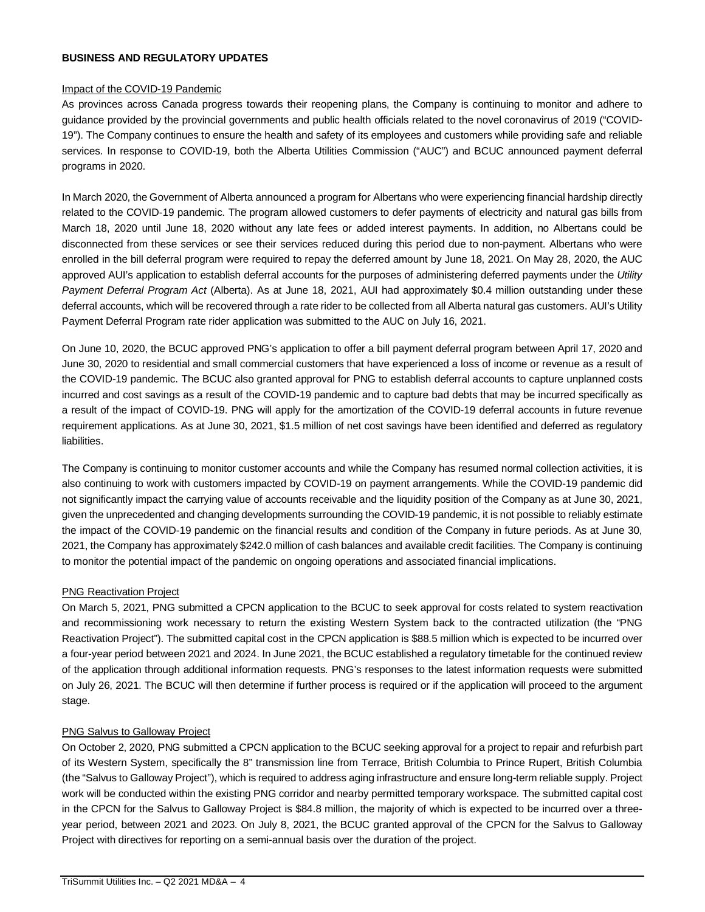#### **BUSINESS AND REGULATORY UPDATES**

#### Impact of the COVID-19 Pandemic

As provinces across Canada progress towards their reopening plans, the Company is continuing to monitor and adhere to guidance provided by the provincial governments and public health officials related to the novel coronavirus of 2019 ("COVID-19"). The Company continues to ensure the health and safety of its employees and customers while providing safe and reliable services. In response to COVID-19, both the Alberta Utilities Commission ("AUC") and BCUC announced payment deferral programs in 2020.

In March 2020, the Government of Alberta announced a program for Albertans who were experiencing financial hardship directly related to the COVID-19 pandemic. The program allowed customers to defer payments of electricity and natural gas bills from March 18, 2020 until June 18, 2020 without any late fees or added interest payments. In addition, no Albertans could be disconnected from these services or see their services reduced during this period due to non-payment. Albertans who were enrolled in the bill deferral program were required to repay the deferred amount by June 18, 2021. On May 28, 2020, the AUC approved AUI's application to establish deferral accounts for the purposes of administering deferred payments under the *Utility Payment Deferral Program Act* (Alberta). As at June 18, 2021, AUI had approximately \$0.4 million outstanding under these deferral accounts, which will be recovered through a rate rider to be collected from all Alberta natural gas customers. AUI's Utility Payment Deferral Program rate rider application was submitted to the AUC on July 16, 2021.

On June 10, 2020, the BCUC approved PNG's application to offer a bill payment deferral program between April 17, 2020 and June 30, 2020 to residential and small commercial customers that have experienced a loss of income or revenue as a result of the COVID-19 pandemic. The BCUC also granted approval for PNG to establish deferral accounts to capture unplanned costs incurred and cost savings as a result of the COVID-19 pandemic and to capture bad debts that may be incurred specifically as a result of the impact of COVID-19. PNG will apply for the amortization of the COVID-19 deferral accounts in future revenue requirement applications. As at June 30, 2021, \$1.5 million of net cost savings have been identified and deferred as regulatory liabilities.

The Company is continuing to monitor customer accounts and while the Company has resumed normal collection activities, it is also continuing to work with customers impacted by COVID-19 on payment arrangements. While the COVID-19 pandemic did not significantly impact the carrying value of accounts receivable and the liquidity position of the Company as at June 30, 2021, given the unprecedented and changing developments surrounding the COVID-19 pandemic, it is not possible to reliably estimate the impact of the COVID-19 pandemic on the financial results and condition of the Company in future periods. As at June 30, 2021, the Company has approximately \$242.0 million of cash balances and available credit facilities. The Company is continuing to monitor the potential impact of the pandemic on ongoing operations and associated financial implications.

# PNG Reactivation Project

On March 5, 2021, PNG submitted a CPCN application to the BCUC to seek approval for costs related to system reactivation and recommissioning work necessary to return the existing Western System back to the contracted utilization (the "PNG Reactivation Project"). The submitted capital cost in the CPCN application is \$88.5 million which is expected to be incurred over a four-year period between 2021 and 2024. In June 2021, the BCUC established a regulatory timetable for the continued review of the application through additional information requests. PNG's responses to the latest information requests were submitted on July 26, 2021. The BCUC will then determine if further process is required or if the application will proceed to the argument stage.

#### PNG Salvus to Galloway Project

On October 2, 2020, PNG submitted a CPCN application to the BCUC seeking approval for a project to repair and refurbish part of its Western System, specifically the 8" transmission line from Terrace, British Columbia to Prince Rupert, British Columbia (the "Salvus to Galloway Project"), which is required to address aging infrastructure and ensure long-term reliable supply. Project work will be conducted within the existing PNG corridor and nearby permitted temporary workspace. The submitted capital cost in the CPCN for the Salvus to Galloway Project is \$84.8 million, the majority of which is expected to be incurred over a threeyear period, between 2021 and 2023. On July 8, 2021, the BCUC granted approval of the CPCN for the Salvus to Galloway Project with directives for reporting on a semi-annual basis over the duration of the project.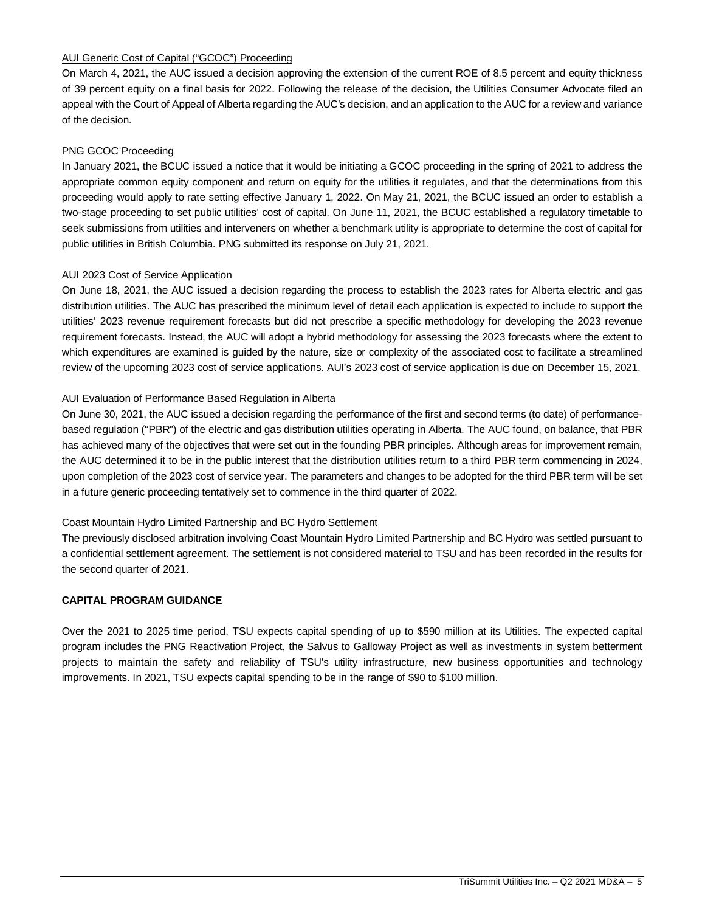# AUI Generic Cost of Capital ("GCOC") Proceeding

On March 4, 2021, the AUC issued a decision approving the extension of the current ROE of 8.5 percent and equity thickness of 39 percent equity on a final basis for 2022. Following the release of the decision, the Utilities Consumer Advocate filed an appeal with the Court of Appeal of Alberta regarding the AUC's decision, and an application to the AUC for a review and variance of the decision.

# PNG GCOC Proceeding

In January 2021, the BCUC issued a notice that it would be initiating a GCOC proceeding in the spring of 2021 to address the appropriate common equity component and return on equity for the utilities it regulates, and that the determinations from this proceeding would apply to rate setting effective January 1, 2022. On May 21, 2021, the BCUC issued an order to establish a two-stage proceeding to set public utilities' cost of capital. On June 11, 2021, the BCUC established a regulatory timetable to seek submissions from utilities and interveners on whether a benchmark utility is appropriate to determine the cost of capital for public utilities in British Columbia. PNG submitted its response on July 21, 2021.

# AUI 2023 Cost of Service Application

On June 18, 2021, the AUC issued a decision regarding the process to establish the 2023 rates for Alberta electric and gas distribution utilities. The AUC has prescribed the minimum level of detail each application is expected to include to support the utilities' 2023 revenue requirement forecasts but did not prescribe a specific methodology for developing the 2023 revenue requirement forecasts. Instead, the AUC will adopt a hybrid methodology for assessing the 2023 forecasts where the extent to which expenditures are examined is guided by the nature, size or complexity of the associated cost to facilitate a streamlined review of the upcoming 2023 cost of service applications. AUI's 2023 cost of service application is due on December 15, 2021.

# AUI Evaluation of Performance Based Regulation in Alberta

On June 30, 2021, the AUC issued a decision regarding the performance of the first and second terms (to date) of performancebased regulation ("PBR") of the electric and gas distribution utilities operating in Alberta. The AUC found, on balance, that PBR has achieved many of the objectives that were set out in the founding PBR principles. Although areas for improvement remain, the AUC determined it to be in the public interest that the distribution utilities return to a third PBR term commencing in 2024, upon completion of the 2023 cost of service year. The parameters and changes to be adopted for the third PBR term will be set in a future generic proceeding tentatively set to commence in the third quarter of 2022.

# Coast Mountain Hydro Limited Partnership and BC Hydro Settlement

The previously disclosed arbitration involving Coast Mountain Hydro Limited Partnership and BC Hydro was settled pursuant to a confidential settlement agreement. The settlement is not considered material to TSU and has been recorded in the results for the second quarter of 2021.

# **CAPITAL PROGRAM GUIDANCE**

Over the 2021 to 2025 time period, TSU expects capital spending of up to \$590 million at its Utilities. The expected capital program includes the PNG Reactivation Project, the Salvus to Galloway Project as well as investments in system betterment projects to maintain the safety and reliability of TSU's utility infrastructure, new business opportunities and technology improvements. In 2021, TSU expects capital spending to be in the range of \$90 to \$100 million.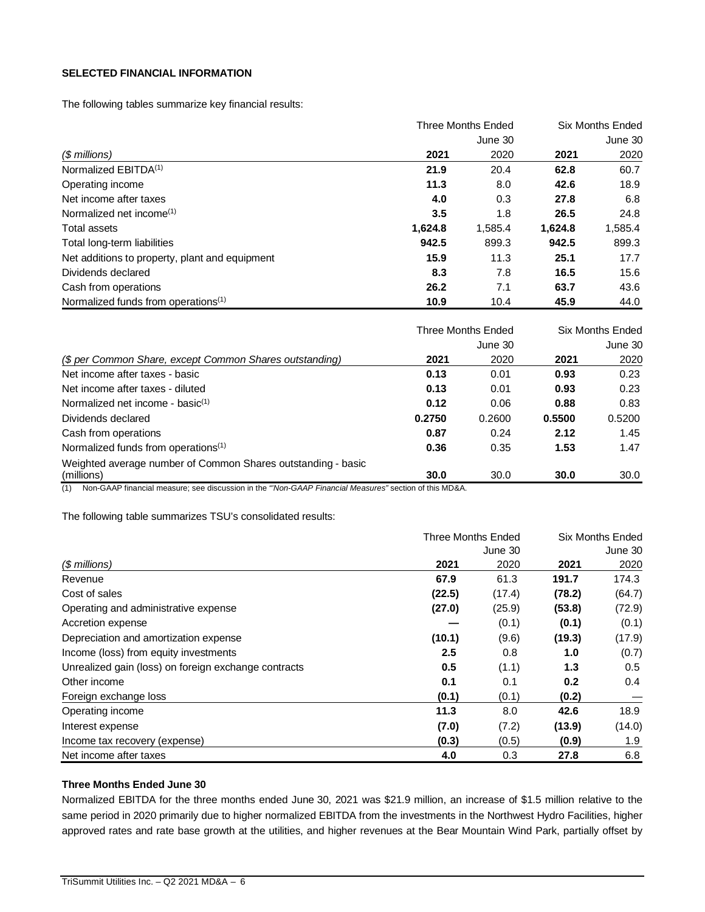# **SELECTED FINANCIAL INFORMATION**

The following tables summarize key financial results:

|                                                 |         | <b>Three Months Ended</b> |         | <b>Six Months Ended</b> |
|-------------------------------------------------|---------|---------------------------|---------|-------------------------|
|                                                 |         | June 30                   |         | June 30                 |
| (\$ millions)                                   | 2021    | 2020                      | 2021    | 2020                    |
| Normalized EBITDA <sup>(1)</sup>                | 21.9    | 20.4                      | 62.8    | 60.7                    |
| Operating income                                | 11.3    | 8.0                       | 42.6    | 18.9                    |
| Net income after taxes                          | 4.0     | 0.3                       | 27.8    | 6.8                     |
| Normalized net income <sup>(1)</sup>            | 3.5     | 1.8                       | 26.5    | 24.8                    |
| Total assets                                    | 1,624.8 | 1,585.4                   | 1,624.8 | 1,585.4                 |
| Total long-term liabilities                     | 942.5   | 899.3                     | 942.5   | 899.3                   |
| Net additions to property, plant and equipment  | 15.9    | 11.3                      | 25.1    | 17.7                    |
| Dividends declared                              | 8.3     | 7.8                       | 16.5    | 15.6                    |
| Cash from operations                            | 26.2    | 7.1                       | 63.7    | 43.6                    |
| Normalized funds from operations <sup>(1)</sup> | 10.9    | 10.4                      | 45.9    | 44.0                    |

|                                                                            |        | <b>Three Months Ended</b> | Six Months Ended |         |  |
|----------------------------------------------------------------------------|--------|---------------------------|------------------|---------|--|
|                                                                            |        | June 30                   |                  | June 30 |  |
| (\$ per Common Share, except Common Shares outstanding)                    | 2021   | 2020                      | 2021             | 2020    |  |
| Net income after taxes - basic                                             | 0.13   | 0.01                      | 0.93             | 0.23    |  |
| Net income after taxes - diluted                                           | 0.13   | 0.01                      | 0.93             | 0.23    |  |
| Normalized net income - basi $c^{(1)}$                                     | 0.12   | 0.06                      | 0.88             | 0.83    |  |
| Dividends declared                                                         | 0.2750 | 0.2600                    | 0.5500           | 0.5200  |  |
| Cash from operations                                                       | 0.87   | 0.24                      | 2.12             | 1.45    |  |
| Normalized funds from operations <sup>(1)</sup>                            | 0.36   | 0.35                      | 1.53             | 1.47    |  |
| Weighted average number of Common Shares outstanding - basic<br>(millions) | 30.0   | 30.0                      | 30.0             | 30.0    |  |

(1) Non-GAAP financial measure; see discussion in the *"'Non-GAAP Financial Measures"* section of this MD&A.

The following table summarizes TSU's consolidated results:

|                                                      | <b>Three Months Ended</b> |         |        | Six Months Ended |  |
|------------------------------------------------------|---------------------------|---------|--------|------------------|--|
|                                                      |                           | June 30 |        | June 30          |  |
| $$$ millions)                                        | 2021                      | 2020    | 2021   | 2020             |  |
| Revenue                                              | 67.9                      | 61.3    | 191.7  | 174.3            |  |
| Cost of sales                                        | (22.5)                    | (17.4)  | (78.2) | (64.7)           |  |
| Operating and administrative expense                 | (27.0)                    | (25.9)  | (53.8) | (72.9)           |  |
| Accretion expense                                    |                           | (0.1)   | (0.1)  | (0.1)            |  |
| Depreciation and amortization expense                | (10.1)                    | (9.6)   | (19.3) | (17.9)           |  |
| Income (loss) from equity investments                | 2.5                       | 0.8     | 1.0    | (0.7)            |  |
| Unrealized gain (loss) on foreign exchange contracts | 0.5                       | (1.1)   | 1.3    | 0.5              |  |
| Other income                                         | 0.1                       | 0.1     | 0.2    | 0.4              |  |
| Foreign exchange loss                                | (0.1)                     | (0.1)   | (0.2)  |                  |  |
| Operating income                                     | 11.3                      | 8.0     | 42.6   | 18.9             |  |
| Interest expense                                     | (7.0)                     | (7.2)   | (13.9) | (14.0)           |  |
| Income tax recovery (expense)                        | (0.3)                     | (0.5)   | (0.9)  | 1.9              |  |
| Net income after taxes                               | 4.0                       | 0.3     | 27.8   | 6.8              |  |

## **Three Months Ended June 30**

Normalized EBITDA for the three months ended June 30, 2021 was \$21.9 million, an increase of \$1.5 million relative to the same period in 2020 primarily due to higher normalized EBITDA from the investments in the Northwest Hydro Facilities, higher approved rates and rate base growth at the utilities, and higher revenues at the Bear Mountain Wind Park, partially offset by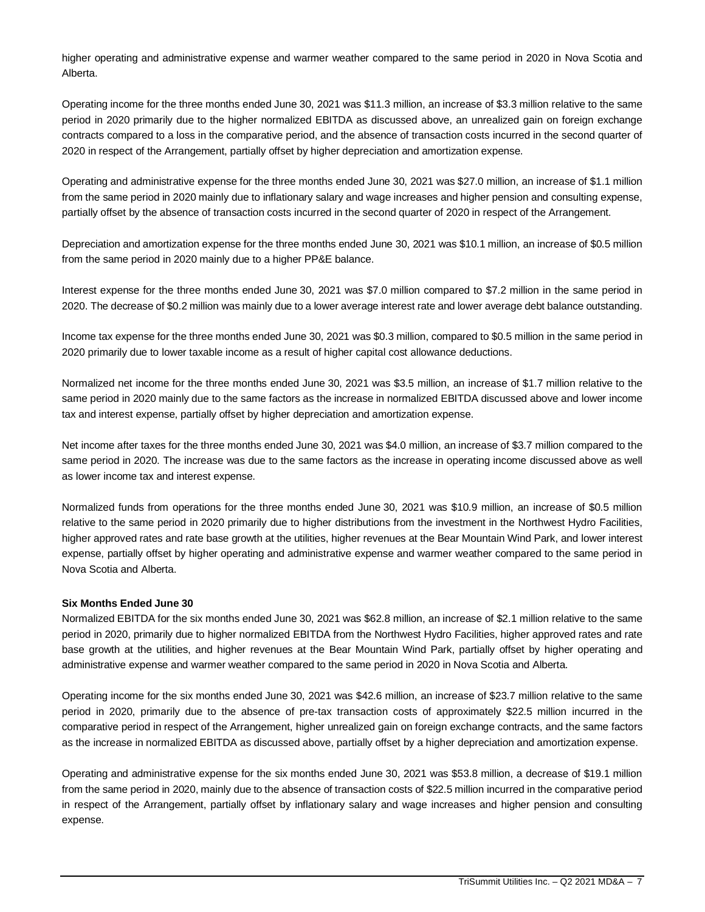higher operating and administrative expense and warmer weather compared to the same period in 2020 in Nova Scotia and Alberta.

Operating income for the three months ended June 30, 2021 was \$11.3 million, an increase of \$3.3 million relative to the same period in 2020 primarily due to the higher normalized EBITDA as discussed above, an unrealized gain on foreign exchange contracts compared to a loss in the comparative period, and the absence of transaction costs incurred in the second quarter of 2020 in respect of the Arrangement, partially offset by higher depreciation and amortization expense.

Operating and administrative expense for the three months ended June 30, 2021 was \$27.0 million, an increase of \$1.1 million from the same period in 2020 mainly due to inflationary salary and wage increases and higher pension and consulting expense, partially offset by the absence of transaction costs incurred in the second quarter of 2020 in respect of the Arrangement.

Depreciation and amortization expense for the three months ended June 30, 2021 was \$10.1 million, an increase of \$0.5 million from the same period in 2020 mainly due to a higher PP&E balance.

Interest expense for the three months ended June 30, 2021 was \$7.0 million compared to \$7.2 million in the same period in 2020. The decrease of \$0.2 million was mainly due to a lower average interest rate and lower average debt balance outstanding.

Income tax expense for the three months ended June 30, 2021 was \$0.3 million, compared to \$0.5 million in the same period in 2020 primarily due to lower taxable income as a result of higher capital cost allowance deductions.

Normalized net income for the three months ended June 30, 2021 was \$3.5 million, an increase of \$1.7 million relative to the same period in 2020 mainly due to the same factors as the increase in normalized EBITDA discussed above and lower income tax and interest expense, partially offset by higher depreciation and amortization expense.

Net income after taxes for the three months ended June 30, 2021 was \$4.0 million, an increase of \$3.7 million compared to the same period in 2020. The increase was due to the same factors as the increase in operating income discussed above as well as lower income tax and interest expense.

Normalized funds from operations for the three months ended June 30, 2021 was \$10.9 million, an increase of \$0.5 million relative to the same period in 2020 primarily due to higher distributions from the investment in the Northwest Hydro Facilities, higher approved rates and rate base growth at the utilities, higher revenues at the Bear Mountain Wind Park, and lower interest expense, partially offset by higher operating and administrative expense and warmer weather compared to the same period in Nova Scotia and Alberta.

# **Six Months Ended June 30**

Normalized EBITDA for the six months ended June 30, 2021 was \$62.8 million, an increase of \$2.1 million relative to the same period in 2020, primarily due to higher normalized EBITDA from the Northwest Hydro Facilities, higher approved rates and rate base growth at the utilities, and higher revenues at the Bear Mountain Wind Park, partially offset by higher operating and administrative expense and warmer weather compared to the same period in 2020 in Nova Scotia and Alberta.

Operating income for the six months ended June 30, 2021 was \$42.6 million, an increase of \$23.7 million relative to the same period in 2020, primarily due to the absence of pre-tax transaction costs of approximately \$22.5 million incurred in the comparative period in respect of the Arrangement, higher unrealized gain on foreign exchange contracts, and the same factors as the increase in normalized EBITDA as discussed above, partially offset by a higher depreciation and amortization expense.

Operating and administrative expense for the six months ended June 30, 2021 was \$53.8 million, a decrease of \$19.1 million from the same period in 2020, mainly due to the absence of transaction costs of \$22.5 million incurred in the comparative period in respect of the Arrangement, partially offset by inflationary salary and wage increases and higher pension and consulting expense.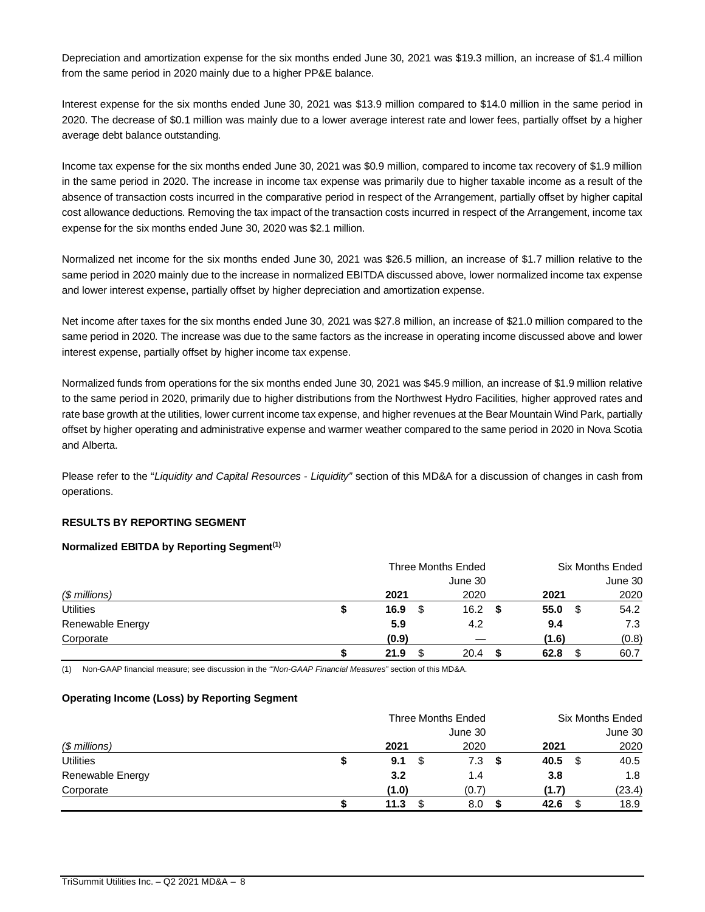Depreciation and amortization expense for the six months ended June 30, 2021 was \$19.3 million, an increase of \$1.4 million from the same period in 2020 mainly due to a higher PP&E balance.

Interest expense for the six months ended June 30, 2021 was \$13.9 million compared to \$14.0 million in the same period in 2020. The decrease of \$0.1 million was mainly due to a lower average interest rate and lower fees, partially offset by a higher average debt balance outstanding.

Income tax expense for the six months ended June 30, 2021 was \$0.9 million, compared to income tax recovery of \$1.9 million in the same period in 2020. The increase in income tax expense was primarily due to higher taxable income as a result of the absence of transaction costs incurred in the comparative period in respect of the Arrangement, partially offset by higher capital cost allowance deductions. Removing the tax impact of the transaction costs incurred in respect of the Arrangement, income tax expense for the six months ended June 30, 2020 was \$2.1 million.

Normalized net income for the six months ended June 30, 2021 was \$26.5 million, an increase of \$1.7 million relative to the same period in 2020 mainly due to the increase in normalized EBITDA discussed above, lower normalized income tax expense and lower interest expense, partially offset by higher depreciation and amortization expense.

Net income after taxes for the six months ended June 30, 2021 was \$27.8 million, an increase of \$21.0 million compared to the same period in 2020. The increase was due to the same factors as the increase in operating income discussed above and lower interest expense, partially offset by higher income tax expense.

Normalized funds from operations for the six months ended June 30, 2021 was \$45.9 million, an increase of \$1.9 million relative to the same period in 2020, primarily due to higher distributions from the Northwest Hydro Facilities, higher approved rates and rate base growth at the utilities, lower current income tax expense, and higher revenues at the Bear Mountain Wind Park, partially offset by higher operating and administrative expense and warmer weather compared to the same period in 2020 in Nova Scotia and Alberta.

Please refer to the "*Liquidity and Capital Resources - Liquidity"* section of this MD&A for a discussion of changes in cash from operations.

# **RESULTS BY REPORTING SEGMENT**

#### **Normalized EBITDA by Reporting Segment(1)**

|                  | <b>Three Months Ended</b> |           | <b>Six Months Ended</b> |         |  |
|------------------|---------------------------|-----------|-------------------------|---------|--|
|                  |                           | June 30   |                         | June 30 |  |
| $$$ millions)    | 2021                      | 2020      | 2021                    | 2020    |  |
| <b>Utilities</b> | \$<br>16.9<br>S           | 16.2<br>S | 55.0<br>S               | 54.2    |  |
| Renewable Energy | 5.9                       | 4.2       | 9.4                     | 7.3     |  |
| Corporate        | (0.9)                     |           | (1.6)                   | (0.8)   |  |
|                  | 21.9                      | 20.4      | 62.8                    | 60.7    |  |

(1) Non-GAAP financial measure; see discussion in the *"'Non-GAAP Financial Measures"* section of this MD&A.

#### **Operating Income (Loss) by Reporting Segment**

|                  | Three Months Ended |         | <b>Six Months Ended</b> |         |  |
|------------------|--------------------|---------|-------------------------|---------|--|
|                  |                    | June 30 |                         | June 30 |  |
| $$$ millions)    | 2021               | 2020    | 2021                    | 2020    |  |
| <b>Utilities</b> | \$<br>9.1          | 7.3     | S<br>40.5               | 40.5    |  |
| Renewable Energy | 3.2                | 1.4     | 3.8                     | 1.8     |  |
| Corporate        | (1.0)              | (0.7)   | (1.7)                   | (23.4)  |  |
|                  | 11.3               | 8.0     | 42.6                    | 18.9    |  |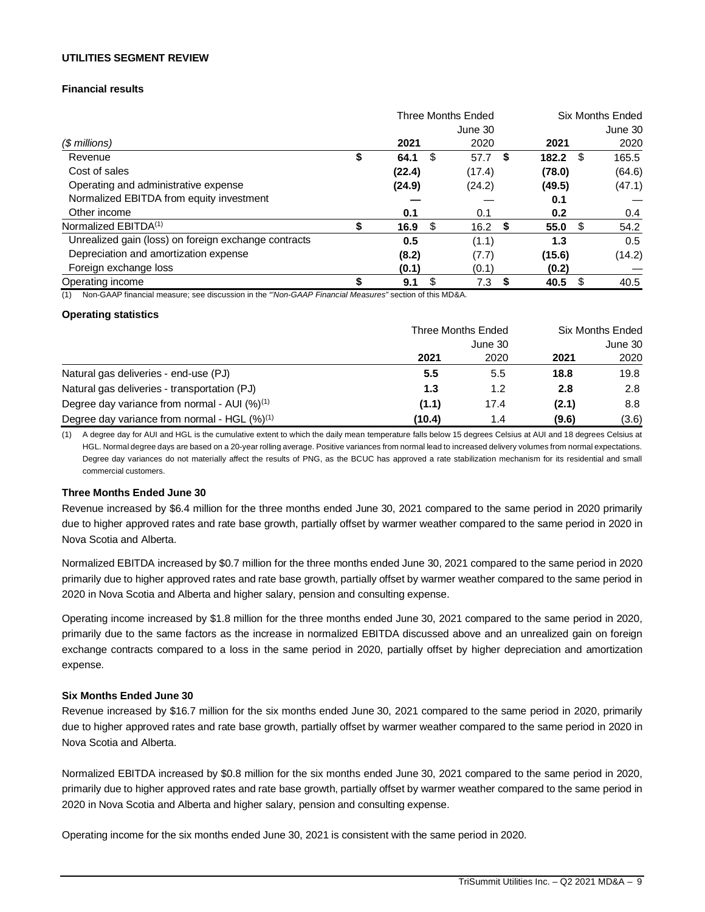#### **UTILITIES SEGMENT REVIEW**

# **Financial results**

|                                                      |    |        | Three Months Ended |    |        |      | Six Months Ended |
|------------------------------------------------------|----|--------|--------------------|----|--------|------|------------------|
|                                                      |    |        | June 30            |    |        |      | June 30          |
| (\$ millions)                                        |    | 2021   | 2020               |    | 2021   |      | 2020             |
| Revenue                                              | \$ | 64.1   | \$<br>57.7         | \$ | 182.2  | - \$ | 165.5            |
| Cost of sales                                        |    | (22.4) | (17.4)             |    | (78.0) |      | (64.6)           |
| Operating and administrative expense                 |    | (24.9) | (24.2)             |    | (49.5) |      | (47.1)           |
| Normalized EBITDA from equity investment             |    |        |                    |    | 0.1    |      |                  |
| Other income                                         |    | 0.1    | 0.1                |    | 0.2    |      | 0.4              |
| Normalized EBITDA <sup>(1)</sup>                     | S  | 16.9   | \$<br>16.2         | 5  | 55.0   | - \$ | 54.2             |
| Unrealized gain (loss) on foreign exchange contracts |    | 0.5    | (1.1)              |    | 1.3    |      | 0.5              |
| Depreciation and amortization expense                |    | (8.2)  | (7.7)              |    | (15.6) |      | (14.2)           |
| Foreign exchange loss                                |    | (0.1)  | (0.1)              |    | (0.2)  |      |                  |
| Operating income                                     | S  | 9.1    | \$<br>7.3          | S  | 40.5   | \$   | 40.5             |

(1) Non-GAAP financial measure; see discussion in the *"'Non-GAAP Financial Measures"* section of this MD&A.

#### **Operating statistics**

|                                                          | Three Months Ended | <b>Six Months Ended</b> |       |       |
|----------------------------------------------------------|--------------------|-------------------------|-------|-------|
|                                                          |                    | June 30                 |       |       |
|                                                          | 2021               | 2020                    | 2021  | 2020  |
| Natural gas deliveries - end-use (PJ)                    | 5.5                | 5.5                     | 18.8  | 19.8  |
| Natural gas deliveries - transportation (PJ)             | 1.3                | 1.2                     | 2.8   | 2.8   |
| Degree day variance from normal - AUI $(%)^{(1)}$        | (1.1)              | 17.4                    | (2.1) | 8.8   |
| Degree day variance from normal - HGL (%) <sup>(1)</sup> | (10.4)             | 1.4                     | (9.6) | (3.6) |

(1) A degree day for AUI and HGL is the cumulative extent to which the daily mean temperature falls below 15 degrees Celsius at AUI and 18 degrees Celsius at HGL. Normal degree days are based on a 20-year rolling average. Positive variances from normal lead to increased delivery volumes from normal expectations. Degree day variances do not materially affect the results of PNG, as the BCUC has approved a rate stabilization mechanism for its residential and small commercial customers.

#### **Three Months Ended June 30**

Revenue increased by \$6.4 million for the three months ended June 30, 2021 compared to the same period in 2020 primarily due to higher approved rates and rate base growth, partially offset by warmer weather compared to the same period in 2020 in Nova Scotia and Alberta.

Normalized EBITDA increased by \$0.7 million for the three months ended June 30, 2021 compared to the same period in 2020 primarily due to higher approved rates and rate base growth, partially offset by warmer weather compared to the same period in 2020 in Nova Scotia and Alberta and higher salary, pension and consulting expense.

Operating income increased by \$1.8 million for the three months ended June 30, 2021 compared to the same period in 2020, primarily due to the same factors as the increase in normalized EBITDA discussed above and an unrealized gain on foreign exchange contracts compared to a loss in the same period in 2020, partially offset by higher depreciation and amortization expense.

#### **Six Months Ended June 30**

Revenue increased by \$16.7 million for the six months ended June 30, 2021 compared to the same period in 2020, primarily due to higher approved rates and rate base growth, partially offset by warmer weather compared to the same period in 2020 in Nova Scotia and Alberta.

Normalized EBITDA increased by \$0.8 million for the six months ended June 30, 2021 compared to the same period in 2020, primarily due to higher approved rates and rate base growth, partially offset by warmer weather compared to the same period in 2020 in Nova Scotia and Alberta and higher salary, pension and consulting expense.

Operating income for the six months ended June 30, 2021 is consistent with the same period in 2020.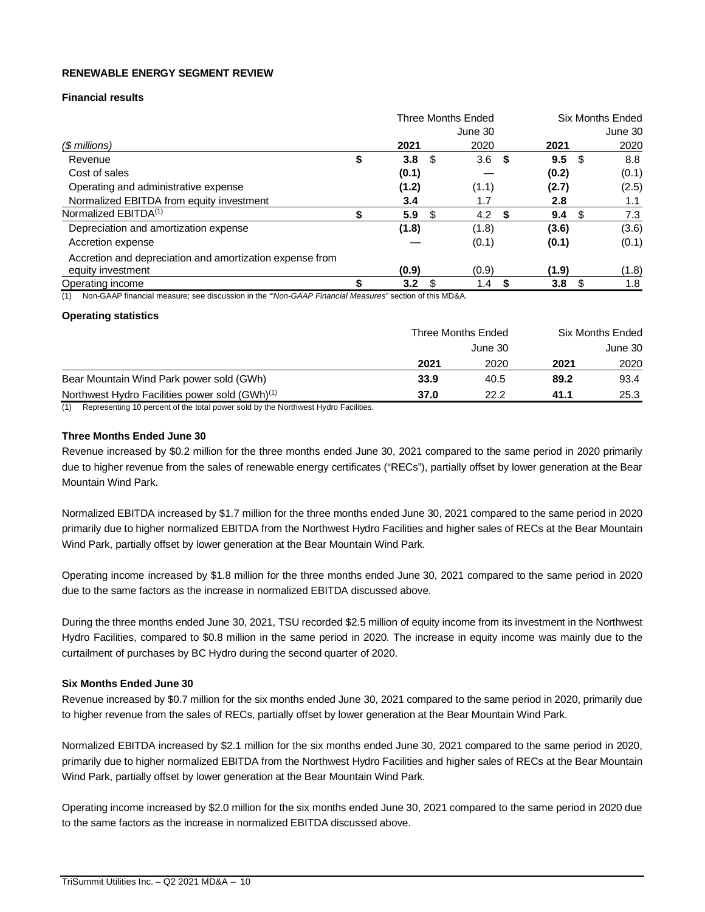#### **RENEWABLE ENERGY SEGMENT REVIEW**

#### **Financial results**

|                                                          | <b>Three Months Ended</b> |     |         | <b>Six Months Ended</b> |       |      |         |
|----------------------------------------------------------|---------------------------|-----|---------|-------------------------|-------|------|---------|
|                                                          |                           |     | June 30 |                         |       |      | June 30 |
| $$$ millions)                                            | 2021                      |     | 2020    |                         | 2021  |      | 2020    |
| Revenue                                                  | \$<br>3.8                 | \$  | 3.6     | - \$                    | 9.5   | - \$ | 8.8     |
| Cost of sales                                            | (0.1)                     |     |         |                         | (0.2) |      | (0.1)   |
| Operating and administrative expense                     | (1.2)                     |     | (1.1)   |                         | (2.7) |      | (2.5)   |
| Normalized EBITDA from equity investment                 | 3.4                       |     | 1.7     |                         | 2.8   |      | 1.1     |
| Normalized EBITDA <sup>(1)</sup>                         | 5.9                       | \$. | 4.2     | S                       | 9.4   | - \$ | 7.3     |
| Depreciation and amortization expense                    | (1.8)                     |     | (1.8)   |                         | (3.6) |      | (3.6)   |
| Accretion expense                                        |                           |     | (0.1)   |                         | (0.1) |      | (0.1)   |
| Accretion and depreciation and amortization expense from |                           |     |         |                         |       |      |         |
| equity investment                                        | (0.9)                     |     | (0.9)   |                         | (1.9) |      | (1.8)   |
| Operating income                                         | 3.2                       |     | 1.4     |                         | 3.8   | - \$ | 1.8     |

(1) Non-GAAP financial measure; see discussion in the *"'Non-GAAP Financial Measures"* section of this MD&A.

#### **Operating statistics**

|                                                            | Three Months Ended |      |      | Six Months Ended |  |  |
|------------------------------------------------------------|--------------------|------|------|------------------|--|--|
|                                                            | June 30            |      |      | June 30          |  |  |
|                                                            | 2021               | 2020 | 2021 | 2020             |  |  |
| Bear Mountain Wind Park power sold (GWh)                   | 33.9               | 40.5 | 89.2 | 93.4             |  |  |
| Northwest Hydro Facilities power sold (GWh) <sup>(1)</sup> | 37.0               | 22.2 | 41.1 | 25.3             |  |  |
|                                                            |                    |      |      |                  |  |  |

(1) Representing 10 percent of the total power sold by the Northwest Hydro Facilities.

# **Three Months Ended June 30**

Revenue increased by \$0.2 million for the three months ended June 30, 2021 compared to the same period in 2020 primarily due to higher revenue from the sales of renewable energy certificates ("RECs"), partially offset by lower generation at the Bear Mountain Wind Park.

Normalized EBITDA increased by \$1.7 million for the three months ended June 30, 2021 compared to the same period in 2020 primarily due to higher normalized EBITDA from the Northwest Hydro Facilities and higher sales of RECs at the Bear Mountain Wind Park, partially offset by lower generation at the Bear Mountain Wind Park.

Operating income increased by \$1.8 million for the three months ended June 30, 2021 compared to the same period in 2020 due to the same factors as the increase in normalized EBITDA discussed above.

During the three months ended June 30, 2021, TSU recorded \$2.5 million of equity income from its investment in the Northwest Hydro Facilities, compared to \$0.8 million in the same period in 2020. The increase in equity income was mainly due to the curtailment of purchases by BC Hydro during the second quarter of 2020.

#### **Six Months Ended June 30**

Revenue increased by \$0.7 million for the six months ended June 30, 2021 compared to the same period in 2020, primarily due to higher revenue from the sales of RECs, partially offset by lower generation at the Bear Mountain Wind Park.

Normalized EBITDA increased by \$2.1 million for the six months ended June 30, 2021 compared to the same period in 2020, primarily due to higher normalized EBITDA from the Northwest Hydro Facilities and higher sales of RECs at the Bear Mountain Wind Park, partially offset by lower generation at the Bear Mountain Wind Park.

Operating income increased by \$2.0 million for the six months ended June 30, 2021 compared to the same period in 2020 due to the same factors as the increase in normalized EBITDA discussed above.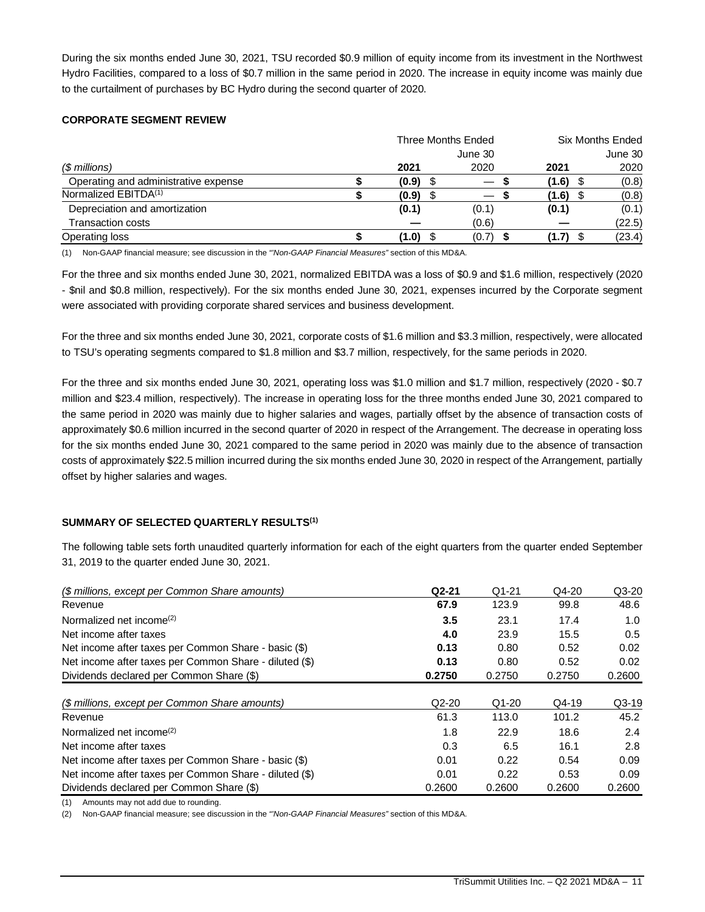During the six months ended June 30, 2021, TSU recorded \$0.9 million of equity income from its investment in the Northwest Hydro Facilities, compared to a loss of \$0.7 million in the same period in 2020. The increase in equity income was mainly due to the curtailment of purchases by BC Hydro during the second quarter of 2020.

# **CORPORATE SEGMENT REVIEW**

|                                      | Three Months Ended |       |  | <b>Six Months Ended</b>  |       |         |
|--------------------------------------|--------------------|-------|--|--------------------------|-------|---------|
|                                      |                    |       |  | June 30                  |       | June 30 |
| $$$ millions)                        |                    | 2021  |  | 2020                     | 2021  | 2020    |
| Operating and administrative expense |                    | (0.9) |  | $\overline{\phantom{m}}$ | (1.6) | (0.8)   |
| Normalized EBITDA <sup>(1)</sup>     |                    | (0.9) |  |                          | (1.6) | (0.8)   |
| Depreciation and amortization        |                    | (0.1) |  | (0.1)                    | (0.1) | (0.1)   |
| <b>Transaction costs</b>             |                    |       |  | (0.6)                    |       | (22.5)  |
| Operating loss                       |                    | (1.0) |  | (0.7)                    | (1.7) | (23.4)  |

(1) Non-GAAP financial measure; see discussion in the *"'Non-GAAP Financial Measures"* section of this MD&A.

For the three and six months ended June 30, 2021, normalized EBITDA was a loss of \$0.9 and \$1.6 million, respectively (2020 - \$nil and \$0.8 million, respectively). For the six months ended June 30, 2021, expenses incurred by the Corporate segment were associated with providing corporate shared services and business development.

For the three and six months ended June 30, 2021, corporate costs of \$1.6 million and \$3.3 million, respectively, were allocated to TSU's operating segments compared to \$1.8 million and \$3.7 million, respectively, for the same periods in 2020.

For the three and six months ended June 30, 2021, operating loss was \$1.0 million and \$1.7 million, respectively (2020 - \$0.7 million and \$23.4 million, respectively). The increase in operating loss for the three months ended June 30, 2021 compared to the same period in 2020 was mainly due to higher salaries and wages, partially offset by the absence of transaction costs of approximately \$0.6 million incurred in the second quarter of 2020 in respect of the Arrangement. The decrease in operating loss for the six months ended June 30, 2021 compared to the same period in 2020 was mainly due to the absence of transaction costs of approximately \$22.5 million incurred during the six months ended June 30, 2020 in respect of the Arrangement, partially offset by higher salaries and wages.

# **SUMMARY OF SELECTED QUARTERLY RESULTS(1)**

The following table sets forth unaudited quarterly information for each of the eight quarters from the quarter ended September 31, 2019 to the quarter ended June 30, 2021.

| (\$ millions, except per Common Share amounts)         | $Q2-21$ | $Q1-21$ | $Q4-20$ | $Q3-20$ |
|--------------------------------------------------------|---------|---------|---------|---------|
| Revenue                                                | 67.9    | 123.9   | 99.8    | 48.6    |
| Normalized net income <sup>(2)</sup>                   | 3.5     | 23.1    | 17.4    | 1.0     |
| Net income after taxes                                 | 4.0     | 23.9    | 15.5    | 0.5     |
| Net income after taxes per Common Share - basic (\$)   | 0.13    | 0.80    | 0.52    | 0.02    |
| Net income after taxes per Common Share - diluted (\$) | 0.13    | 0.80    | 0.52    | 0.02    |
| Dividends declared per Common Share (\$)               | 0.2750  | 0.2750  | 0.2750  | 0.2600  |
|                                                        |         |         |         |         |
| (\$ millions, except per Common Share amounts)         | $Q2-20$ | $Q1-20$ | $Q4-19$ | $Q3-19$ |
| Revenue                                                | 61.3    | 113.0   | 101.2   | 45.2    |
| Normalized net income <sup>(2)</sup>                   | 1.8     | 22.9    | 18.6    | 2.4     |
| Net income after taxes                                 | 0.3     | 6.5     | 16.1    | 2.8     |
| Net income after taxes per Common Share - basic (\$)   | 0.01    | 0.22    | 0.54    | 0.09    |
| Net income after taxes per Common Share - diluted (\$) | 0.01    | 0.22    | 0.53    | 0.09    |
| Dividends declared per Common Share (\$)               | 0.2600  | 0.2600  | 0.2600  | 0.2600  |

(1) Amounts may not add due to rounding.

(2) Non-GAAP financial measure; see discussion in the *"'Non-GAAP Financial Measures"* section of this MD&A.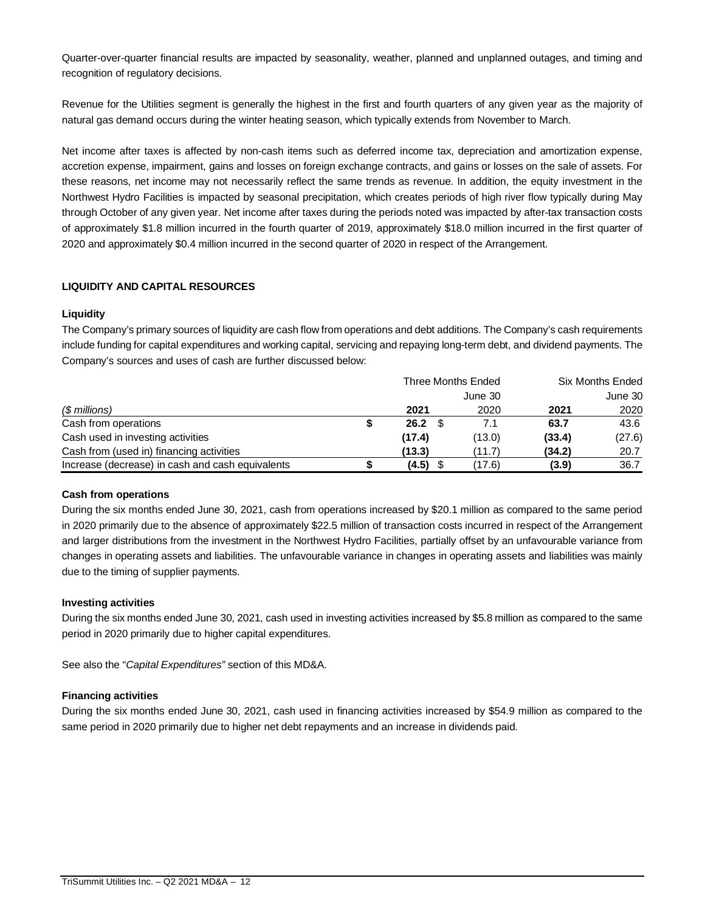Quarter-over-quarter financial results are impacted by seasonality, weather, planned and unplanned outages, and timing and recognition of regulatory decisions.

Revenue for the Utilities segment is generally the highest in the first and fourth quarters of any given year as the majority of natural gas demand occurs during the winter heating season, which typically extends from November to March.

Net income after taxes is affected by non-cash items such as deferred income tax, depreciation and amortization expense, accretion expense, impairment, gains and losses on foreign exchange contracts, and gains or losses on the sale of assets. For these reasons, net income may not necessarily reflect the same trends as revenue. In addition, the equity investment in the Northwest Hydro Facilities is impacted by seasonal precipitation, which creates periods of high river flow typically during May through October of any given year. Net income after taxes during the periods noted was impacted by after-tax transaction costs of approximately \$1.8 million incurred in the fourth quarter of 2019, approximately \$18.0 million incurred in the first quarter of 2020 and approximately \$0.4 million incurred in the second quarter of 2020 in respect of the Arrangement.

# **LIQUIDITY AND CAPITAL RESOURCES**

#### **Liquidity**

The Company's primary sources of liquidity are cash flow from operations and debt additions. The Company's cash requirements include funding for capital expenditures and working capital, servicing and repaying long-term debt, and dividend payments. The Company's sources and uses of cash are further discussed below:

|                                                  | Three Months Ended |         | <b>Six Months Ended</b> |         |  |
|--------------------------------------------------|--------------------|---------|-------------------------|---------|--|
|                                                  |                    | June 30 |                         | June 30 |  |
| $$$ millions)                                    | 2021               | 2020    | 2021                    | 2020    |  |
| Cash from operations                             | 26.2               | 7.1     | 63.7                    | 43.6    |  |
| Cash used in investing activities                | (17.4)             | (13.0)  | (33.4)                  | (27.6)  |  |
| Cash from (used in) financing activities         | (13.3)             | (11.7)  | (34.2)                  | 20.7    |  |
| Increase (decrease) in cash and cash equivalents | $(4.5)$ \$         | (17.6)  | (3.9)                   | 36.7    |  |

#### **Cash from operations**

During the six months ended June 30, 2021, cash from operations increased by \$20.1 million as compared to the same period in 2020 primarily due to the absence of approximately \$22.5 million of transaction costs incurred in respect of the Arrangement and larger distributions from the investment in the Northwest Hydro Facilities, partially offset by an unfavourable variance from changes in operating assets and liabilities. The unfavourable variance in changes in operating assets and liabilities was mainly due to the timing of supplier payments.

#### **Investing activities**

During the six months ended June 30, 2021, cash used in investing activities increased by \$5.8 million as compared to the same period in 2020 primarily due to higher capital expenditures.

See also the "*Capital Expenditures"* section of this MD&A.

#### **Financing activities**

During the six months ended June 30, 2021, cash used in financing activities increased by \$54.9 million as compared to the same period in 2020 primarily due to higher net debt repayments and an increase in dividends paid.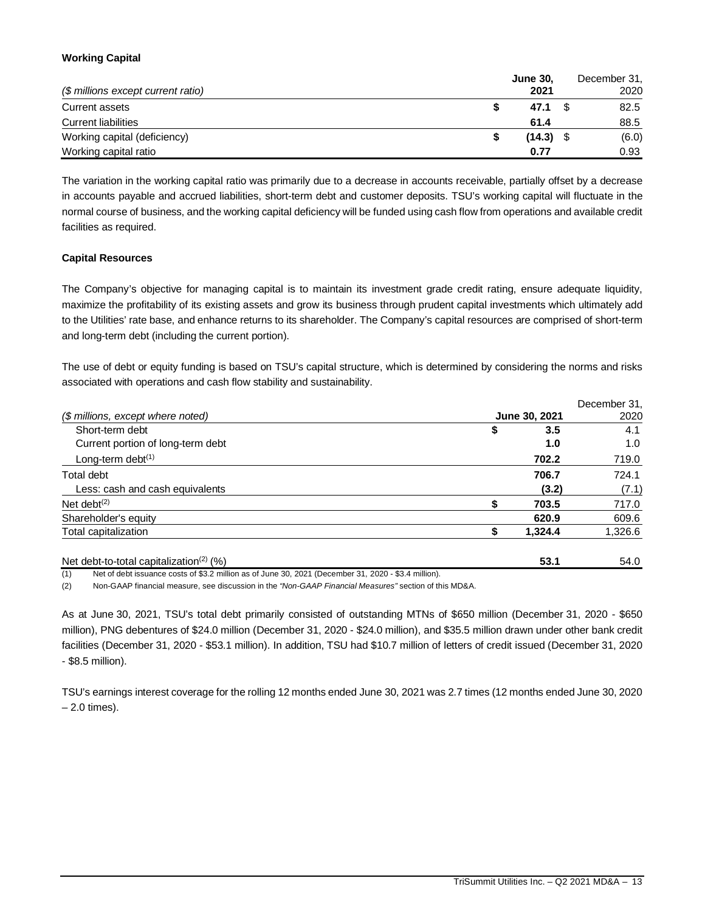# **Working Capital**

| (\$ millions except current ratio) | <b>June 30,</b><br>2021 | December 31,<br>2020 |
|------------------------------------|-------------------------|----------------------|
| Current assets                     | 47.1                    | 82.5                 |
| <b>Current liabilities</b>         | 61.4                    | 88.5                 |
| Working capital (deficiency)       | $(14.3)$ \$             | (6.0)                |
| Working capital ratio              | 0.77                    | 0.93                 |

The variation in the working capital ratio was primarily due to a decrease in accounts receivable, partially offset by a decrease in accounts payable and accrued liabilities, short-term debt and customer deposits. TSU's working capital will fluctuate in the normal course of business, and the working capital deficiency will be funded using cash flow from operations and available credit facilities as required.

# **Capital Resources**

The Company's objective for managing capital is to maintain its investment grade credit rating, ensure adequate liquidity, maximize the profitability of its existing assets and grow its business through prudent capital investments which ultimately add to the Utilities' rate base, and enhance returns to its shareholder. The Company's capital resources are comprised of short-term and long-term debt (including the current portion).

The use of debt or equity funding is based on TSU's capital structure, which is determined by considering the norms and risks associated with operations and cash flow stability and sustainability.

|                                                     |                      |         | December 31. |
|-----------------------------------------------------|----------------------|---------|--------------|
| (\$ millions, except where noted)                   | <b>June 30, 2021</b> | 2020    |              |
| Short-term debt                                     | \$                   | 3.5     | 4.1          |
| Current portion of long-term debt                   |                      | 1.0     | 1.0          |
| Long-term debt $(1)$                                |                      | 702.2   | 719.0        |
| Total debt                                          |                      | 706.7   | 724.1        |
| Less: cash and cash equivalents                     |                      | (3.2)   | (7.1)        |
| Net debt $(2)$                                      |                      | 703.5   | 717.0        |
| Shareholder's equity                                |                      | 620.9   | 609.6        |
| Total capitalization                                |                      | 1,324.4 | 1,326.6      |
| Net debt-to-total capitalization <sup>(2)</sup> (%) |                      | 53.1    | 54.0         |

(1) Net of debt issuance costs of \$3.2 million as of June 30, 2021 (December 31, 2020 - \$3.4 million).

(2) Non-GAAP financial measure, see discussion in the *"Non-GAAP Financial Measures"* section of this MD&A.

As at June 30, 2021, TSU's total debt primarily consisted of outstanding MTNs of \$650 million (December 31, 2020 - \$650 million), PNG debentures of \$24.0 million (December 31, 2020 - \$24.0 million), and \$35.5 million drawn under other bank credit facilities (December 31, 2020 - \$53.1 million). In addition, TSU had \$10.7 million of letters of credit issued (December 31, 2020 - \$8.5 million).

TSU's earnings interest coverage for the rolling 12 months ended June 30, 2021 was 2.7 times (12 months ended June 30, 2020 – 2.0 times).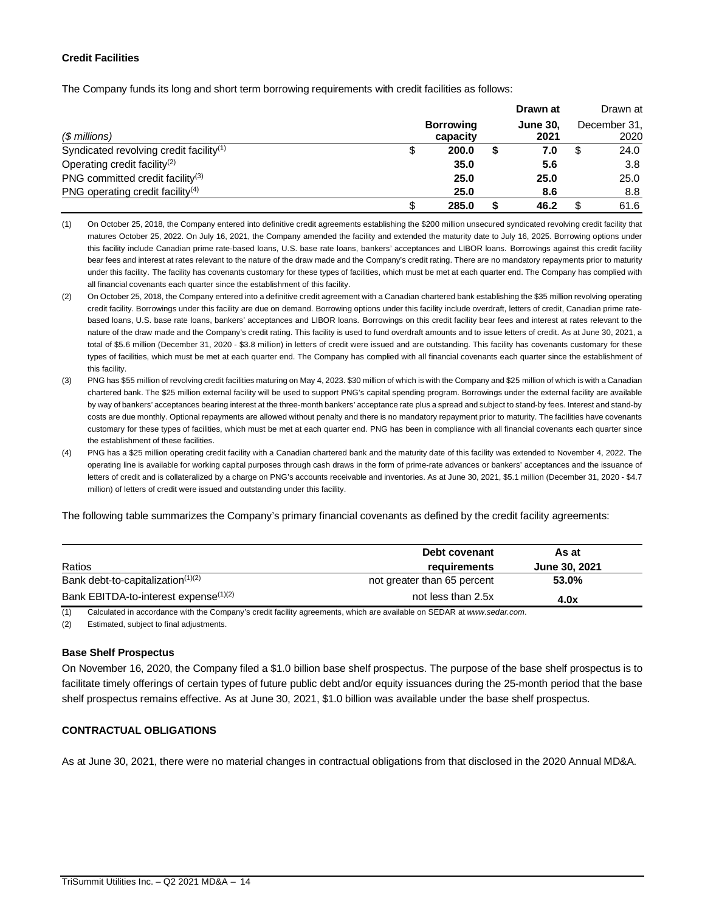# **Credit Facilities**

The Company funds its long and short term borrowing requirements with credit facilities as follows:

|                                                     |                              | Drawn at                |    | Drawn at             |
|-----------------------------------------------------|------------------------------|-------------------------|----|----------------------|
| $$$ millions)                                       | <b>Borrowing</b><br>capacity | <b>June 30.</b><br>2021 |    | December 31,<br>2020 |
| Syndicated revolving credit facility <sup>(1)</sup> | 200.0                        | 7.0                     | S  | 24.0                 |
| Operating credit facility <sup>(2)</sup>            | 35.0                         | 5.6                     |    | 3.8                  |
| PNG committed credit facility <sup>(3)</sup>        | 25.0                         | 25.0                    |    | 25.0                 |
| PNG operating credit facility <sup>(4)</sup>        | 25.0                         | 8.6                     |    | 8.8                  |
|                                                     | 285.0                        | 46.2                    | \$ | 61.6                 |

(1) On October 25, 2018, the Company entered into definitive credit agreements establishing the \$200 million unsecured syndicated revolving credit facility that matures October 25, 2022. On July 16, 2021, the Company amended the facility and extended the maturity date to July 16, 2025. Borrowing options under this facility include Canadian prime rate-based loans, U.S. base rate loans, bankers' acceptances and LIBOR loans. Borrowings against this credit facility bear fees and interest at rates relevant to the nature of the draw made and the Company's credit rating. There are no mandatory repayments prior to maturity under this facility. The facility has covenants customary for these types of facilities, which must be met at each quarter end. The Company has complied with all financial covenants each quarter since the establishment of this facility.

- (2) On October 25, 2018, the Company entered into a definitive credit agreement with a Canadian chartered bank establishing the \$35 million revolving operating credit facility. Borrowings under this facility are due on demand. Borrowing options under this facility include overdraft, letters of credit, Canadian prime ratebased loans, U.S. base rate loans, bankers' acceptances and LIBOR loans. Borrowings on this credit facility bear fees and interest at rates relevant to the nature of the draw made and the Company's credit rating. This facility is used to fund overdraft amounts and to issue letters of credit. As at June 30, 2021, a total of \$5.6 million (December 31, 2020 - \$3.8 million) in letters of credit were issued and are outstanding. This facility has covenants customary for these types of facilities, which must be met at each quarter end. The Company has complied with all financial covenants each quarter since the establishment of this facility.
- (3) PNG has \$55 million of revolving credit facilities maturing on May 4, 2023. \$30 million of which is with the Company and \$25 million of which is with a Canadian chartered bank. The \$25 million external facility will be used to support PNG's capital spending program. Borrowings under the external facility are available by way of bankers' acceptances bearing interest at the three-month bankers' acceptance rate plus a spread and subject to stand-by fees. Interest and stand-by costs are due monthly. Optional repayments are allowed without penalty and there is no mandatory repayment prior to maturity. The facilities have covenants customary for these types of facilities, which must be met at each quarter end. PNG has been in compliance with all financial covenants each quarter since the establishment of these facilities.

(4) PNG has a \$25 million operating credit facility with a Canadian chartered bank and the maturity date of this facility was extended to November 4, 2022. The operating line is available for working capital purposes through cash draws in the form of prime-rate advances or bankers' acceptances and the issuance of letters of credit and is collateralized by a charge on PNG's accounts receivable and inventories. As at June 30, 2021, \$5.1 million (December 31, 2020 - \$4.7 million) of letters of credit were issued and outstanding under this facility.

The following table summarizes the Company's primary financial covenants as defined by the credit facility agreements:

|                                                   | Debt covenant               | As at         |
|---------------------------------------------------|-----------------------------|---------------|
| Ratios                                            | requirements                | June 30, 2021 |
| Bank debt-to-capitalization $(1)(2)$              | not greater than 65 percent | 53.0%         |
| Bank EBITDA-to-interest expense <sup>(1)(2)</sup> | not less than 2.5x          | 4.0x          |

(1) Calculated in accordance with the Company's credit facility agreements, which are available on SEDAR at *www.sedar.com*.

(2) Estimated, subject to final adjustments.

# **Base Shelf Prospectus**

On November 16, 2020, the Company filed a \$1.0 billion base shelf prospectus. The purpose of the base shelf prospectus is to facilitate timely offerings of certain types of future public debt and/or equity issuances during the 25-month period that the base shelf prospectus remains effective. As at June 30, 2021, \$1.0 billion was available under the base shelf prospectus.

# **CONTRACTUAL OBLIGATIONS**

As at June 30, 2021, there were no material changes in contractual obligations from that disclosed in the 2020 Annual MD&A.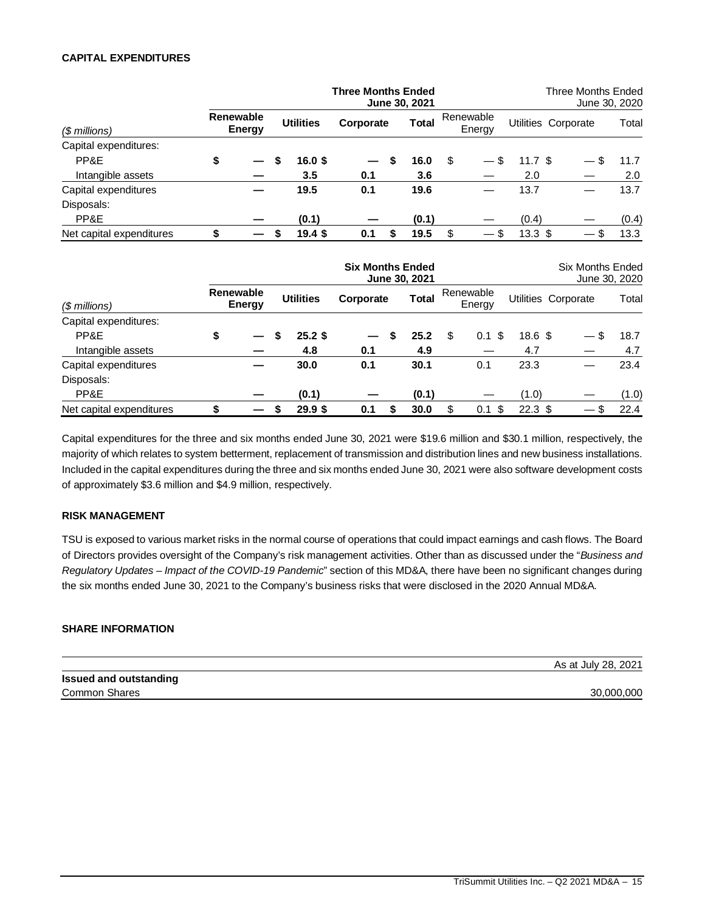### **CAPITAL EXPENDITURES**

|                          |                     |   |                  | <b>Three Months Ended</b> |   | June 30, 2021 |                     |                   | Three Months Ended<br>June 30, 2020 |       |
|--------------------------|---------------------|---|------------------|---------------------------|---|---------------|---------------------|-------------------|-------------------------------------|-------|
| $$$ millions)            | Renewable<br>Energy |   | <b>Utilities</b> | Corporate                 |   | <b>Total</b>  | Renewable<br>Energy |                   | Utilities Corporate                 | Total |
| Capital expenditures:    |                     |   |                  |                           |   |               |                     |                   |                                     |       |
| PP&E                     | \$                  | S | 16.0 \$          |                           | S | 16.0          | \$                  | 11.7 S            | \$.<br>$\hspace{0.05cm}$            | 11.7  |
| Intangible assets        |                     |   | 3.5              | 0.1                       |   | 3.6           |                     | 2.0               |                                     | 2.0   |
| Capital expenditures     |                     |   | 19.5             | 0.1                       |   | 19.6          |                     | 13.7              |                                     | 13.7  |
| Disposals:               |                     |   |                  |                           |   |               |                     |                   |                                     |       |
| PP&E                     |                     |   | (0.1)            |                           |   | (0.1)         |                     | (0.4)             |                                     | (0.4) |
| Net capital expenditures |                     |   | $19.4$ \$        | 0.1                       | S | 19.5          | \$                  | $13.3 \text{ } $$ |                                     | 13.3  |

|                          |                     |   |                   | <b>Six Months Ended</b> |   | June 30, 2021 |                     |                   | <b>Six Months Ended</b><br>June 30, 2020 |       |
|--------------------------|---------------------|---|-------------------|-------------------------|---|---------------|---------------------|-------------------|------------------------------------------|-------|
| $$$ millions)            | Renewable<br>Energy |   | <b>Utilities</b>  | Corporate               |   | <b>Total</b>  | Renewable<br>Energy |                   | Utilities Corporate                      | Total |
| Capital expenditures:    |                     |   |                   |                         |   |               |                     |                   |                                          |       |
| PP&E                     | \$                  | S | $25.2$ \$         |                         | S | 25.2          | \$<br>-S<br>0.1     | $18.6~{\rm \AA}$  |                                          | 18.7  |
| Intangible assets        |                     |   | 4.8               | 0.1                     |   | 4.9           |                     | 4.7               |                                          | 4.7   |
| Capital expenditures     |                     |   | 30.0              | 0.1                     |   | 30.1          | 0.1                 | 23.3              |                                          | 23.4  |
| Disposals:               |                     |   |                   |                         |   |               |                     |                   |                                          |       |
| PP&E                     |                     |   | (0.1)             |                         |   | (0.1)         |                     | (1.0)             |                                          | (1.0) |
| Net capital expenditures |                     |   | 29.9 <sup>5</sup> | 0.1                     |   | 30.0          | \$<br>-\$<br>0.1    | 22.3 <sup>5</sup> | $\hspace{0.05cm}$                        | 22.4  |

Capital expenditures for the three and six months ended June 30, 2021 were \$19.6 million and \$30.1 million, respectively, the majority of which relates to system betterment, replacement of transmission and distribution lines and new business installations. Included in the capital expenditures during the three and six months ended June 30, 2021 were also software development costs of approximately \$3.6 million and \$4.9 million, respectively.

#### **RISK MANAGEMENT**

TSU is exposed to various market risks in the normal course of operations that could impact earnings and cash flows. The Board of Directors provides oversight of the Company's risk management activities. Other than as discussed under the "*Business and Regulatory Updates – Impact of the COVID-19 Pandemic*" section of this MD&A, there have been no significant changes during the six months ended June 30, 2021 to the Company's business risks that were disclosed in the 2020 Annual MD&A.

## **SHARE INFORMATION**

|                               | As at July 28, 2021 |
|-------------------------------|---------------------|
| <b>Issued and outstanding</b> |                     |
| <b>Common Shares</b>          | 30.000.000          |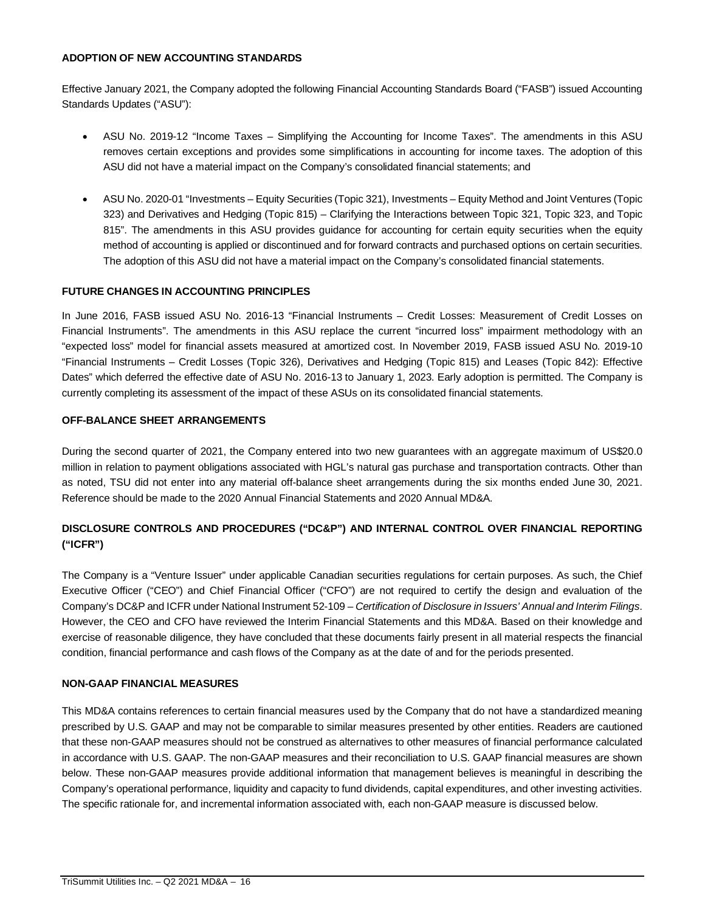# **ADOPTION OF NEW ACCOUNTING STANDARDS**

Effective January 2021, the Company adopted the following Financial Accounting Standards Board ("FASB") issued Accounting Standards Updates ("ASU"):

- ASU No. 2019-12 "Income Taxes Simplifying the Accounting for Income Taxes". The amendments in this ASU removes certain exceptions and provides some simplifications in accounting for income taxes. The adoption of this ASU did not have a material impact on the Company's consolidated financial statements; and
- ASU No. 2020-01 "Investments Equity Securities (Topic 321), Investments Equity Method and Joint Ventures (Topic 323) and Derivatives and Hedging (Topic 815) – Clarifying the Interactions between Topic 321, Topic 323, and Topic 815". The amendments in this ASU provides guidance for accounting for certain equity securities when the equity method of accounting is applied or discontinued and for forward contracts and purchased options on certain securities. The adoption of this ASU did not have a material impact on the Company's consolidated financial statements.

# **FUTURE CHANGES IN ACCOUNTING PRINCIPLES**

In June 2016, FASB issued ASU No. 2016-13 "Financial Instruments – Credit Losses: Measurement of Credit Losses on Financial Instruments". The amendments in this ASU replace the current "incurred loss" impairment methodology with an "expected loss" model for financial assets measured at amortized cost. In November 2019, FASB issued ASU No. 2019-10 "Financial Instruments – Credit Losses (Topic 326), Derivatives and Hedging (Topic 815) and Leases (Topic 842): Effective Dates" which deferred the effective date of ASU No. 2016-13 to January 1, 2023. Early adoption is permitted. The Company is currently completing its assessment of the impact of these ASUs on its consolidated financial statements.

#### **OFF-BALANCE SHEET ARRANGEMENTS**

During the second quarter of 2021, the Company entered into two new guarantees with an aggregate maximum of US\$20.0 million in relation to payment obligations associated with HGL's natural gas purchase and transportation contracts. Other than as noted, TSU did not enter into any material off-balance sheet arrangements during the six months ended June 30, 2021. Reference should be made to the 2020 Annual Financial Statements and 2020 Annual MD&A.

# **DISCLOSURE CONTROLS AND PROCEDURES ("DC&P") AND INTERNAL CONTROL OVER FINANCIAL REPORTING ("ICFR")**

The Company is a "Venture Issuer" under applicable Canadian securities regulations for certain purposes. As such, the Chief Executive Officer ("CEO") and Chief Financial Officer ("CFO") are not required to certify the design and evaluation of the Company's DC&P and ICFR under National Instrument 52-109 – *Certification of Disclosure in Issuers' Annual and Interim Filings*. However, the CEO and CFO have reviewed the Interim Financial Statements and this MD&A. Based on their knowledge and exercise of reasonable diligence, they have concluded that these documents fairly present in all material respects the financial condition, financial performance and cash flows of the Company as at the date of and for the periods presented.

# **NON-GAAP FINANCIAL MEASURES**

This MD&A contains references to certain financial measures used by the Company that do not have a standardized meaning prescribed by U.S. GAAP and may not be comparable to similar measures presented by other entities. Readers are cautioned that these non-GAAP measures should not be construed as alternatives to other measures of financial performance calculated in accordance with U.S. GAAP. The non-GAAP measures and their reconciliation to U.S. GAAP financial measures are shown below. These non-GAAP measures provide additional information that management believes is meaningful in describing the Company's operational performance, liquidity and capacity to fund dividends, capital expenditures, and other investing activities. The specific rationale for, and incremental information associated with, each non-GAAP measure is discussed below.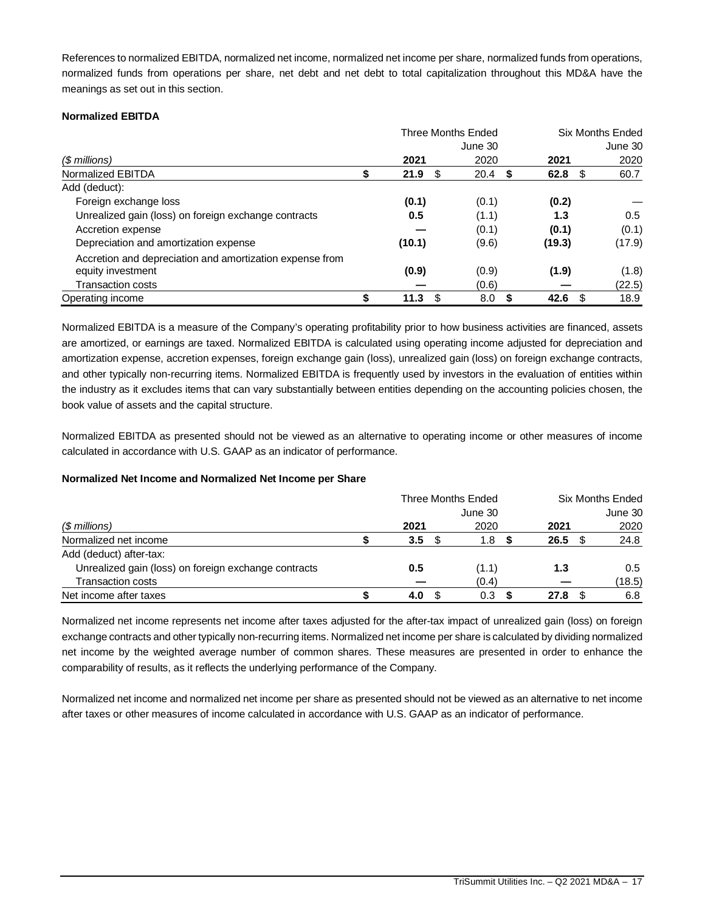References to normalized EBITDA, normalized net income, normalized net income per share, normalized funds from operations, normalized funds from operations per share, net debt and net debt to total capitalization throughout this MD&A have the meanings as set out in this section.

#### **Normalized EBITDA**

|                                                          | <b>Three Months Ended</b> |           | <b>Six Months Ended</b> |         |  |  |
|----------------------------------------------------------|---------------------------|-----------|-------------------------|---------|--|--|
|                                                          |                           | June 30   |                         | June 30 |  |  |
| (\$ millions)                                            | 2021                      | 2020      | 2021                    | 2020    |  |  |
| Normalized EBITDA                                        | 21.9<br>- \$              | 20.4<br>S | 62.8 $$$                | 60.7    |  |  |
| Add (deduct):                                            |                           |           |                         |         |  |  |
| Foreign exchange loss                                    | (0.1)                     | (0.1)     | (0.2)                   |         |  |  |
| Unrealized gain (loss) on foreign exchange contracts     | 0.5                       | (1.1)     | 1.3                     | 0.5     |  |  |
| Accretion expense                                        |                           | (0.1)     | (0.1)                   | (0.1)   |  |  |
| Depreciation and amortization expense                    | (10.1)                    | (9.6)     | (19.3)                  | (17.9)  |  |  |
| Accretion and depreciation and amortization expense from |                           |           |                         |         |  |  |
| equity investment                                        | (0.9)                     | (0.9)     | (1.9)                   | (1.8)   |  |  |
| <b>Transaction costs</b>                                 |                           | (0.6)     |                         | (22.5)  |  |  |
| Operating income                                         | 11.3<br>S                 | 8.0       | 42.6<br>- \$            | 18.9    |  |  |

Normalized EBITDA is a measure of the Company's operating profitability prior to how business activities are financed, assets are amortized, or earnings are taxed. Normalized EBITDA is calculated using operating income adjusted for depreciation and amortization expense, accretion expenses, foreign exchange gain (loss), unrealized gain (loss) on foreign exchange contracts, and other typically non-recurring items. Normalized EBITDA is frequently used by investors in the evaluation of entities within the industry as it excludes items that can vary substantially between entities depending on the accounting policies chosen, the book value of assets and the capital structure.

Normalized EBITDA as presented should not be viewed as an alternative to operating income or other measures of income calculated in accordance with U.S. GAAP as an indicator of performance.

# **Normalized Net Income and Normalized Net Income per Share**

|                                                      | <b>Three Months Ended</b> |  |         |  | <b>Six Months Ended</b> |  |         |  |
|------------------------------------------------------|---------------------------|--|---------|--|-------------------------|--|---------|--|
|                                                      |                           |  | June 30 |  |                         |  | June 30 |  |
| (\$ millions)                                        | 2021                      |  | 2020    |  | 2021                    |  | 2020    |  |
| Normalized net income                                | 3.5                       |  | 1.8     |  | 26.5                    |  | 24.8    |  |
| Add (deduct) after-tax:                              |                           |  |         |  |                         |  |         |  |
| Unrealized gain (loss) on foreign exchange contracts | 0.5                       |  | (1.1)   |  | 1.3                     |  | 0.5     |  |
| <b>Transaction costs</b>                             |                           |  | (0.4)   |  |                         |  | (18.5)  |  |
| Net income after taxes                               | 4.0                       |  | 0.3     |  | 27.8                    |  | 6.8     |  |

Normalized net income represents net income after taxes adjusted for the after-tax impact of unrealized gain (loss) on foreign exchange contracts and other typically non-recurring items. Normalized net income per share is calculated by dividing normalized net income by the weighted average number of common shares. These measures are presented in order to enhance the comparability of results, as it reflects the underlying performance of the Company.

Normalized net income and normalized net income per share as presented should not be viewed as an alternative to net income after taxes or other measures of income calculated in accordance with U.S. GAAP as an indicator of performance.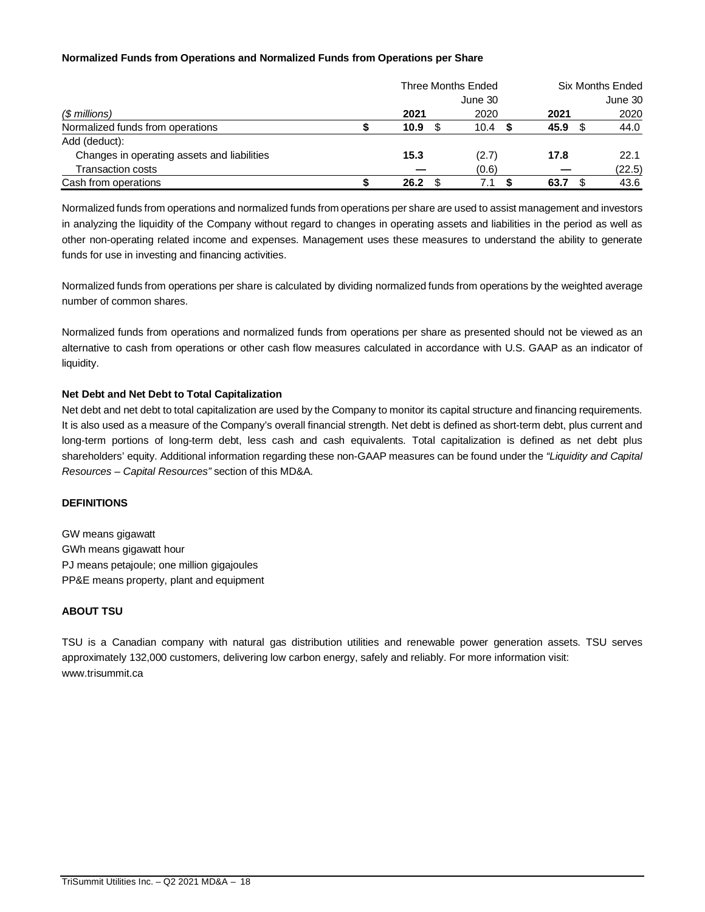# **Normalized Funds from Operations and Normalized Funds from Operations per Share**

|                                             |      | Three Months Ended | <b>Six Months Ended</b> |      |  |         |
|---------------------------------------------|------|--------------------|-------------------------|------|--|---------|
|                                             |      | June 30            |                         |      |  | June 30 |
| $$$ millions)                               | 2021 | 2020               |                         | 2021 |  | 2020    |
| Normalized funds from operations            | 10.9 | 10.4               |                         | 45.9 |  | 44.0    |
| Add (deduct):                               |      |                    |                         |      |  |         |
| Changes in operating assets and liabilities | 15.3 | (2.7)              |                         | 17.8 |  | 22.1    |
| <b>Transaction costs</b>                    |      | (0.6)              |                         |      |  | (22.5)  |
| Cash from operations                        | 26.2 | 7.1                |                         | 63.7 |  | 43.6    |

Normalized funds from operations and normalized funds from operations per share are used to assist management and investors in analyzing the liquidity of the Company without regard to changes in operating assets and liabilities in the period as well as other non-operating related income and expenses. Management uses these measures to understand the ability to generate funds for use in investing and financing activities.

Normalized funds from operations per share is calculated by dividing normalized funds from operations by the weighted average number of common shares.

Normalized funds from operations and normalized funds from operations per share as presented should not be viewed as an alternative to cash from operations or other cash flow measures calculated in accordance with U.S. GAAP as an indicator of liquidity.

#### **Net Debt and Net Debt to Total Capitalization**

Net debt and net debt to total capitalization are used by the Company to monitor its capital structure and financing requirements. It is also used as a measure of the Company's overall financial strength. Net debt is defined as short-term debt, plus current and long-term portions of long-term debt, less cash and cash equivalents. Total capitalization is defined as net debt plus shareholders' equity. Additional information regarding these non-GAAP measures can be found under the *"Liquidity and Capital Resources – Capital Resources"* section of this MD&A.

#### **DEFINITIONS**

GW means gigawatt GWh means gigawatt hour PJ means petajoule; one million gigajoules PP&E means property, plant and equipment

# **ABOUT TSU**

TSU is a Canadian company with natural gas distribution utilities and renewable power generation assets. TSU serves approximately 132,000 customers, delivering low carbon energy, safely and reliably. For more information visit: www.trisummit.ca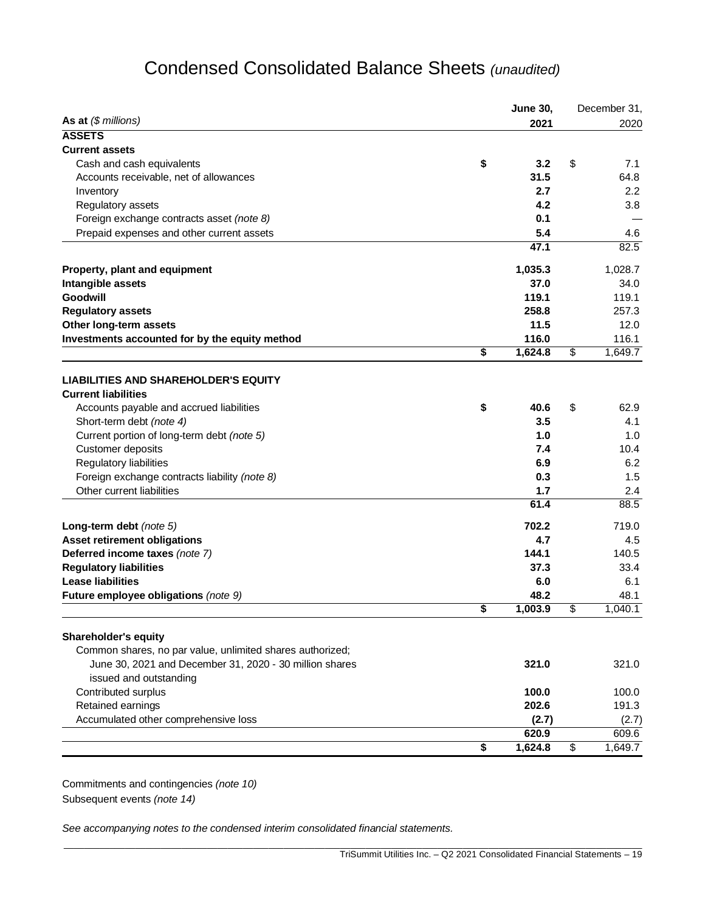# Condensed Consolidated Balance Sheets *(unaudited)*

|                                                                            | <b>June 30,</b> | December 31,          |
|----------------------------------------------------------------------------|-----------------|-----------------------|
| As at $(\$$ millions)                                                      | 2021            | 2020                  |
| <b>ASSETS</b>                                                              |                 |                       |
| <b>Current assets</b>                                                      |                 |                       |
| \$<br>Cash and cash equivalents                                            | 3.2             | \$<br>7.1             |
| Accounts receivable, net of allowances                                     | 31.5            | 64.8                  |
| Inventory                                                                  | 2.7             | 2.2                   |
| Regulatory assets                                                          | 4.2             | 3.8                   |
| Foreign exchange contracts asset (note 8)                                  | 0.1             |                       |
| Prepaid expenses and other current assets                                  | 5.4             | 4.6                   |
|                                                                            | 47.1            | 82.5                  |
| Property, plant and equipment                                              | 1,035.3         | 1,028.7               |
| Intangible assets                                                          | 37.0            | 34.0                  |
| Goodwill                                                                   | 119.1           | 119.1                 |
| <b>Regulatory assets</b>                                                   | 258.8           | 257.3                 |
| Other long-term assets                                                     | 11.5            | 12.0                  |
| Investments accounted for by the equity method                             | 116.0           | 116.1                 |
| \$                                                                         | 1,624.8         | \$<br>1,649.7         |
|                                                                            |                 |                       |
| <b>LIABILITIES AND SHAREHOLDER'S EQUITY</b><br><b>Current liabilities</b>  |                 |                       |
| \$<br>Accounts payable and accrued liabilities                             | 40.6            | \$<br>62.9            |
| Short-term debt (note 4)                                                   | 3.5             | 4.1                   |
| Current portion of long-term debt (note 5)                                 | 1.0             | 1.0                   |
|                                                                            | 7.4             | 10.4                  |
| Customer deposits                                                          | 6.9             |                       |
| Regulatory liabilities                                                     |                 | 6.2                   |
| Foreign exchange contracts liability (note 8)<br>Other current liabilities | 0.3<br>1.7      | 1.5<br>2.4            |
|                                                                            | 61.4            | 88.5                  |
|                                                                            | 702.2           | 719.0                 |
| Long-term debt (note 5)                                                    | 4.7             | 4.5                   |
| Asset retirement obligations                                               | 144.1           |                       |
| Deferred income taxes (note 7)                                             |                 | 140.5                 |
| <b>Regulatory liabilities</b><br><b>Lease liabilities</b>                  | 37.3            | 33.4                  |
|                                                                            | 6.0<br>48.2     | 6.1                   |
| Future employee obligations (note 9)<br>\$                                 | 1,003.9         | \$<br>48.1<br>1,040.1 |
|                                                                            |                 |                       |
| <b>Shareholder's equity</b>                                                |                 |                       |
| Common shares, no par value, unlimited shares authorized;                  |                 |                       |
| June 30, 2021 and December 31, 2020 - 30 million shares                    | 321.0           | 321.0                 |
| issued and outstanding                                                     |                 |                       |
| Contributed surplus                                                        | 100.0           | 100.0                 |
| Retained earnings                                                          | 202.6           | 191.3                 |
| Accumulated other comprehensive loss                                       | (2.7)           | (2.7)                 |
|                                                                            | 620.9           | 609.6                 |
| \$                                                                         | 1,624.8         | \$<br>1,649.7         |

\_\_\_\_\_\_\_\_\_\_\_\_\_\_\_\_\_\_\_\_\_\_\_\_\_\_\_\_\_\_\_\_\_\_\_\_\_\_\_\_\_\_\_\_\_\_\_\_\_\_\_\_\_\_\_\_\_\_\_\_\_\_\_\_\_\_\_\_\_\_\_\_\_\_\_\_\_\_\_\_\_\_\_\_\_\_\_\_\_\_\_\_\_\_\_\_\_\_\_\_\_\_\_\_\_\_\_\_\_\_\_\_\_

Commitments and contingencies *(note 10)* Subsequent events *(note 14)*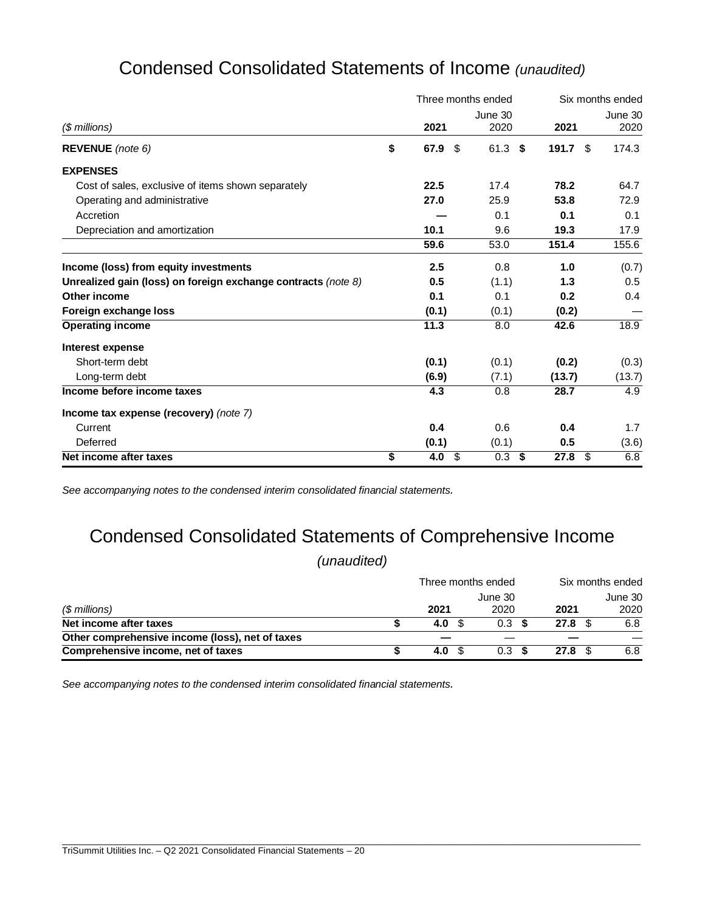|                                                               |            | Three months ended |       | Six months ended |    |                 |  |
|---------------------------------------------------------------|------------|--------------------|-------|------------------|----|-----------------|--|
| $$$ millions)                                                 | 2021       | June 30<br>2020    |       | 2021             |    | June 30<br>2020 |  |
| REVENUE (note 6)                                              | \$<br>67.9 | \$<br>61.3         | \$    | 191.7 $$$        |    | 174.3           |  |
| <b>EXPENSES</b>                                               |            |                    |       |                  |    |                 |  |
| Cost of sales, exclusive of items shown separately            | 22.5       | 17.4               |       | 78.2             |    | 64.7            |  |
| Operating and administrative                                  | 27.0       | 25.9               |       | 53.8             |    | 72.9            |  |
| Accretion                                                     |            | 0.1                |       | 0.1              |    | 0.1             |  |
| Depreciation and amortization                                 | 10.1       | 9.6                |       | 19.3             |    | 17.9            |  |
|                                                               | 59.6       | 53.0               | 151.4 |                  |    | 155.6           |  |
| Income (loss) from equity investments                         | 2.5        | 0.8                |       | 1.0              |    | (0.7)           |  |
| Unrealized gain (loss) on foreign exchange contracts (note 8) | 0.5        | (1.1)              |       | 1.3              |    | 0.5             |  |
| Other income                                                  | 0.1        | 0.1                |       | 0.2              |    | 0.4             |  |
| Foreign exchange loss                                         | (0.1)      | (0.1)              |       | (0.2)            |    |                 |  |
| <b>Operating income</b>                                       | 11.3       | 8.0                |       | 42.6             |    | 18.9            |  |
| Interest expense                                              |            |                    |       |                  |    |                 |  |
| Short-term debt                                               | (0.1)      | (0.1)              |       | (0.2)            |    | (0.3)           |  |
| Long-term debt                                                | (6.9)      | (7.1)              |       | (13.7)           |    | (13.7)          |  |
| Income before income taxes                                    | 4.3        | 0.8                |       | 28.7             |    | 4.9             |  |
| Income tax expense (recovery) (note 7)                        |            |                    |       |                  |    |                 |  |
| Current                                                       | 0.4        | 0.6                |       | 0.4              |    | 1.7             |  |
| Deferred                                                      | (0.1)      | (0.1)              |       | 0.5              |    | (3.6)           |  |
| Net income after taxes                                        | \$<br>4.0  | \$<br>0.3          | \$    | 27.8             | \$ | 6.8             |  |

# Condensed Consolidated Statements of Income *(unaudited)*

*See accompanying notes to the condensed interim consolidated financial statements.*

# Condensed Consolidated Statements of Comprehensive Income

*(unaudited)*

|                                                 | Three months ended |         | Six months ended |         |  |  |
|-------------------------------------------------|--------------------|---------|------------------|---------|--|--|
|                                                 |                    | June 30 |                  | June 30 |  |  |
| $$$ millions)                                   | 2021               | 2020    | 2021             | 2020    |  |  |
| Net income after taxes                          | 4.0                | 0.3     | 27.8<br>- \$     | 6.8     |  |  |
| Other comprehensive income (loss), net of taxes |                    |         |                  |         |  |  |
| Comprehensive income, net of taxes              | 4.0                | 0.3     | 27.8             | 6.8     |  |  |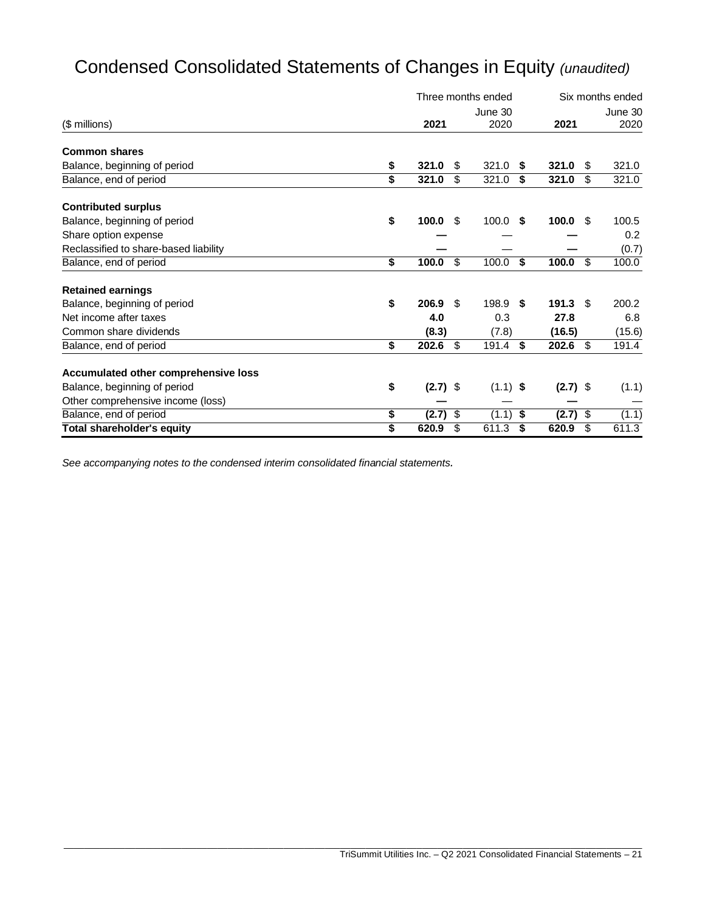# Condensed Consolidated Statements of Changes in Equity *(unaudited)*

|                                       |                  | Three months ended |            |    | Six months ended |      |         |  |
|---------------------------------------|------------------|--------------------|------------|----|------------------|------|---------|--|
|                                       |                  |                    | June 30    |    |                  |      | June 30 |  |
| (\$ millions)                         | 2021             |                    | 2020       |    | 2021             |      | 2020    |  |
| <b>Common shares</b>                  |                  |                    |            |    |                  |      |         |  |
| Balance, beginning of period          | \$<br>321.0      | \$.                | 321.0      | -S | 321.0            | S    | 321.0   |  |
| Balance, end of period                | \$<br>321.0      | \$                 | 321.0      | \$ | 321.0            | \$   | 321.0   |  |
| <b>Contributed surplus</b>            |                  |                    |            |    |                  |      |         |  |
| Balance, beginning of period          | \$<br>100.0      | \$                 | $100.0$ \$ |    | $100.0 \, \$$    |      | 100.5   |  |
| Share option expense                  |                  |                    |            |    |                  |      | 0.2     |  |
| Reclassified to share-based liability |                  |                    |            |    |                  |      | (0.7)   |  |
| Balance, end of period                | \$<br>100.0      | \$                 | 100.0      | \$ | 100.0            | \$   | 100.0   |  |
| <b>Retained earnings</b>              |                  |                    |            |    |                  |      |         |  |
| Balance, beginning of period          | \$<br>206.9      | - \$               | 198.9 \$   |    | $191.3$ \$       |      | 200.2   |  |
| Net income after taxes                | 4.0              |                    | 0.3        |    | 27.8             |      | 6.8     |  |
| Common share dividends                | (8.3)            |                    | (7.8)      |    | (16.5)           |      | (15.6)  |  |
| Balance, end of period                | \$<br>202.6      | \$                 | 191.4      | \$ | 202.6            | - \$ | 191.4   |  |
| Accumulated other comprehensive loss  |                  |                    |            |    |                  |      |         |  |
| Balance, beginning of period          | \$<br>$(2.7)$ \$ |                    | $(1.1)$ \$ |    | $(2.7)$ \$       |      | (1.1)   |  |
| Other comprehensive income (loss)     |                  |                    |            |    |                  |      |         |  |
| Balance, end of period                | \$<br>(2.7)      | \$                 | (1.1)      | \$ | $(2.7)$ \$       |      | (1.1)   |  |
| <b>Total shareholder's equity</b>     | \$<br>620.9      | \$                 | 611.3      | \$ | 620.9            | \$   | 611.3   |  |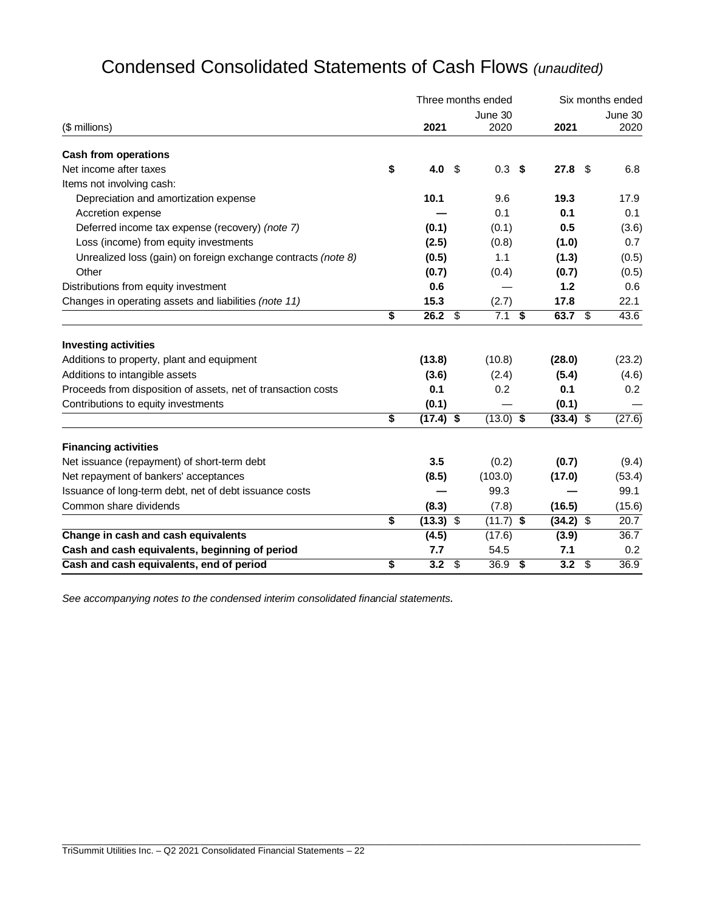|                                                               |                   |                           | Three months ended | Six months ended |             |    |         |  |
|---------------------------------------------------------------|-------------------|---------------------------|--------------------|------------------|-------------|----|---------|--|
|                                                               |                   |                           | June 30            |                  |             |    | June 30 |  |
| (\$ millions)                                                 | 2021              |                           | 2020               |                  | 2021        |    | 2020    |  |
| <b>Cash from operations</b>                                   |                   |                           |                    |                  |             |    |         |  |
| Net income after taxes                                        | \$<br>4.0         | - \$                      | 0.3 <sup>5</sup>   |                  | 27.8        | \$ | 6.8     |  |
| Items not involving cash:                                     |                   |                           |                    |                  |             |    |         |  |
| Depreciation and amortization expense                         | 10.1              |                           | 9.6                |                  | 19.3        |    | 17.9    |  |
| Accretion expense                                             |                   |                           | 0.1                |                  | 0.1         |    | 0.1     |  |
| Deferred income tax expense (recovery) (note 7)               | (0.1)             |                           | (0.1)              |                  | 0.5         |    | (3.6)   |  |
| Loss (income) from equity investments                         | (2.5)             |                           | (0.8)              |                  | (1.0)       |    | 0.7     |  |
| Unrealized loss (gain) on foreign exchange contracts (note 8) | (0.5)             |                           | 1.1                |                  | (1.3)       |    | (0.5)   |  |
| Other                                                         | (0.7)             |                           | (0.4)              |                  | (0.7)       |    | (0.5)   |  |
| Distributions from equity investment                          | 0.6               |                           |                    |                  | 1.2         |    | 0.6     |  |
| Changes in operating assets and liabilities (note 11)         | 15.3              |                           | (2.7)              |                  | 17.8        |    | 22.1    |  |
|                                                               | \$<br>$26.2$ \$   |                           | $7.1$ \$           |                  | 63.7 $$$    |    | 43.6    |  |
| <b>Investing activities</b>                                   |                   |                           |                    |                  |             |    |         |  |
| Additions to property, plant and equipment                    | (13.8)            |                           | (10.8)             |                  | (28.0)      |    | (23.2)  |  |
| Additions to intangible assets                                | (3.6)             |                           | (2.4)              |                  | (5.4)       |    | (4.6)   |  |
| Proceeds from disposition of assets, net of transaction costs | 0.1               |                           | 0.2                |                  | 0.1         |    | 0.2     |  |
| Contributions to equity investments                           | (0.1)             |                           |                    |                  | (0.1)       |    |         |  |
|                                                               | \$<br>$(17.4)$ \$ |                           | $(13.0)$ \$        |                  | $(33.4)$ \$ |    | (27.6)  |  |
| <b>Financing activities</b>                                   |                   |                           |                    |                  |             |    |         |  |
| Net issuance (repayment) of short-term debt                   | 3.5               |                           | (0.2)              |                  | (0.7)       |    | (9.4)   |  |
| Net repayment of bankers' acceptances                         | (8.5)             |                           | (103.0)            |                  | (17.0)      |    | (53.4)  |  |
| Issuance of long-term debt, net of debt issuance costs        |                   |                           | 99.3               |                  |             |    | 99.1    |  |
| Common share dividends                                        | (8.3)             |                           | (7.8)              |                  | (16.5)      |    | (15.6)  |  |
|                                                               | \$<br>$(13.3)$ \$ |                           | $(11.7)$ \$        |                  | $(34.2)$ \$ |    | 20.7    |  |
| Change in cash and cash equivalents                           | (4.5)             |                           | (17.6)             |                  | (3.9)       |    | 36.7    |  |
| Cash and cash equivalents, beginning of period                | 7.7               |                           | 54.5               |                  | 7.1         |    | 0.2     |  |
| Cash and cash equivalents, end of period                      | \$<br>3.2         | $\boldsymbol{\mathsf{S}}$ | $\overline{36.9}$  | \$               | 3.2         | \$ | 36.9    |  |

\_\_\_\_\_\_\_\_\_\_\_\_\_\_\_\_\_\_\_\_\_\_\_\_\_\_\_\_\_\_\_\_\_\_\_\_\_\_\_\_\_\_\_\_\_\_\_\_\_\_\_\_\_\_\_\_\_\_\_\_\_\_\_\_\_\_\_\_\_\_\_\_\_\_\_\_\_\_\_\_\_\_\_\_\_\_\_\_\_\_\_\_\_\_\_\_\_\_\_\_\_\_\_\_\_\_\_\_\_\_\_\_\_

# Condensed Consolidated Statements of Cash Flows *(unaudited)*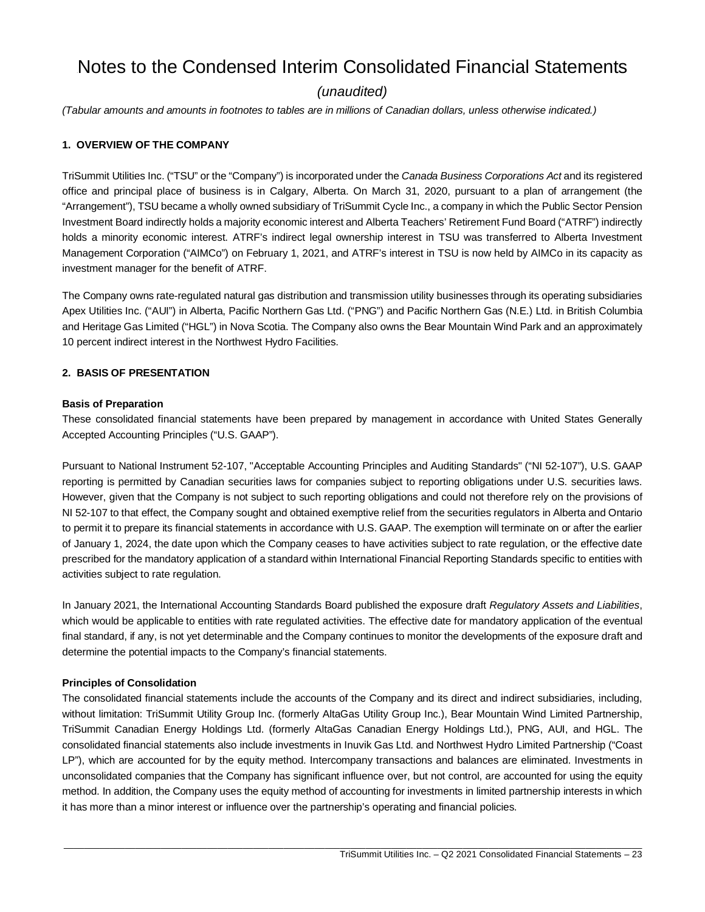# Notes to the Condensed Interim Consolidated Financial Statements

# *(unaudited)*

*(Tabular amounts and amounts in footnotes to tables are in millions of Canadian dollars, unless otherwise indicated.)*

### **1. OVERVIEW OF THE COMPANY**

TriSummit Utilities Inc. ("TSU" or the "Company") is incorporated under the *Canada Business Corporations Act* and its registered office and principal place of business is in Calgary, Alberta. On March 31, 2020, pursuant to a plan of arrangement (the "Arrangement"), TSU became a wholly owned subsidiary of TriSummit Cycle Inc., a company in which the Public Sector Pension Investment Board indirectly holds a majority economic interest and Alberta Teachers' Retirement Fund Board ("ATRF") indirectly holds a minority economic interest. ATRF's indirect legal ownership interest in TSU was transferred to Alberta Investment Management Corporation ("AIMCo") on February 1, 2021, and ATRF's interest in TSU is now held by AIMCo in its capacity as investment manager for the benefit of ATRF.

The Company owns rate-regulated natural gas distribution and transmission utility businesses through its operating subsidiaries Apex Utilities Inc. ("AUI") in Alberta, Pacific Northern Gas Ltd. ("PNG") and Pacific Northern Gas (N.E.) Ltd. in British Columbia and Heritage Gas Limited ("HGL") in Nova Scotia. The Company also owns the Bear Mountain Wind Park and an approximately 10 percent indirect interest in the Northwest Hydro Facilities.

#### **2. BASIS OF PRESENTATION**

#### **Basis of Preparation**

These consolidated financial statements have been prepared by management in accordance with United States Generally Accepted Accounting Principles ("U.S. GAAP").

Pursuant to National Instrument 52-107, "Acceptable Accounting Principles and Auditing Standards" ("NI 52-107"), U.S. GAAP reporting is permitted by Canadian securities laws for companies subject to reporting obligations under U.S. securities laws. However, given that the Company is not subject to such reporting obligations and could not therefore rely on the provisions of NI 52-107 to that effect, the Company sought and obtained exemptive relief from the securities regulators in Alberta and Ontario to permit it to prepare its financial statements in accordance with U.S. GAAP. The exemption will terminate on or after the earlier of January 1, 2024, the date upon which the Company ceases to have activities subject to rate regulation, or the effective date prescribed for the mandatory application of a standard within International Financial Reporting Standards specific to entities with activities subject to rate regulation.

In January 2021, the International Accounting Standards Board published the exposure draft *Regulatory Assets and Liabilities*, which would be applicable to entities with rate regulated activities. The effective date for mandatory application of the eventual final standard, if any, is not yet determinable and the Company continues to monitor the developments of the exposure draft and determine the potential impacts to the Company's financial statements.

#### **Principles of Consolidation**

The consolidated financial statements include the accounts of the Company and its direct and indirect subsidiaries, including, without limitation: TriSummit Utility Group Inc. (formerly AltaGas Utility Group Inc.), Bear Mountain Wind Limited Partnership, TriSummit Canadian Energy Holdings Ltd. (formerly AltaGas Canadian Energy Holdings Ltd.), PNG, AUI, and HGL. The consolidated financial statements also include investments in Inuvik Gas Ltd. and Northwest Hydro Limited Partnership ("Coast LP"), which are accounted for by the equity method. Intercompany transactions and balances are eliminated. Investments in unconsolidated companies that the Company has significant influence over, but not control, are accounted for using the equity method. In addition, the Company uses the equity method of accounting for investments in limited partnership interests in which it has more than a minor interest or influence over the partnership's operating and financial policies.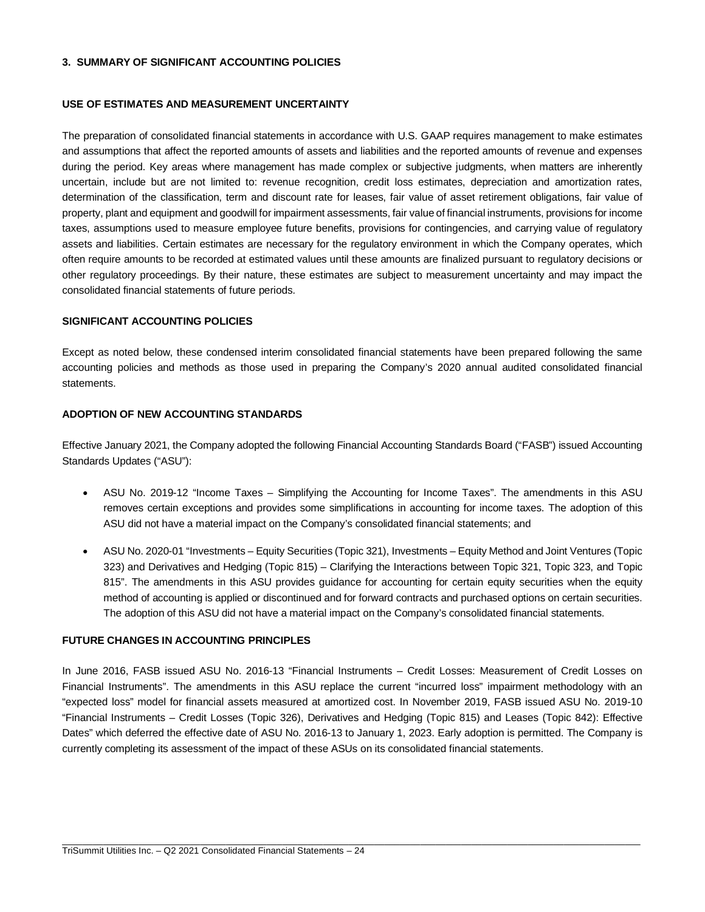#### **3. SUMMARY OF SIGNIFICANT ACCOUNTING POLICIES**

#### **USE OF ESTIMATES AND MEASUREMENT UNCERTAINTY**

The preparation of consolidated financial statements in accordance with U.S. GAAP requires management to make estimates and assumptions that affect the reported amounts of assets and liabilities and the reported amounts of revenue and expenses during the period. Key areas where management has made complex or subjective judgments, when matters are inherently uncertain, include but are not limited to: revenue recognition, credit loss estimates, depreciation and amortization rates, determination of the classification, term and discount rate for leases, fair value of asset retirement obligations, fair value of property, plant and equipment and goodwill for impairment assessments, fair value of financial instruments, provisions for income taxes, assumptions used to measure employee future benefits, provisions for contingencies, and carrying value of regulatory assets and liabilities. Certain estimates are necessary for the regulatory environment in which the Company operates, which often require amounts to be recorded at estimated values until these amounts are finalized pursuant to regulatory decisions or other regulatory proceedings. By their nature, these estimates are subject to measurement uncertainty and may impact the consolidated financial statements of future periods.

#### **SIGNIFICANT ACCOUNTING POLICIES**

Except as noted below, these condensed interim consolidated financial statements have been prepared following the same accounting policies and methods as those used in preparing the Company's 2020 annual audited consolidated financial statements.

#### **ADOPTION OF NEW ACCOUNTING STANDARDS**

Effective January 2021, the Company adopted the following Financial Accounting Standards Board ("FASB") issued Accounting Standards Updates ("ASU"):

- ASU No. 2019-12 "Income Taxes Simplifying the Accounting for Income Taxes". The amendments in this ASU removes certain exceptions and provides some simplifications in accounting for income taxes. The adoption of this ASU did not have a material impact on the Company's consolidated financial statements; and
- ASU No. 2020-01 "Investments Equity Securities (Topic 321), Investments Equity Method and Joint Ventures (Topic 323) and Derivatives and Hedging (Topic 815) – Clarifying the Interactions between Topic 321, Topic 323, and Topic 815". The amendments in this ASU provides guidance for accounting for certain equity securities when the equity method of accounting is applied or discontinued and for forward contracts and purchased options on certain securities. The adoption of this ASU did not have a material impact on the Company's consolidated financial statements.

# **FUTURE CHANGES IN ACCOUNTING PRINCIPLES**

In June 2016, FASB issued ASU No. 2016-13 "Financial Instruments – Credit Losses: Measurement of Credit Losses on Financial Instruments". The amendments in this ASU replace the current "incurred loss" impairment methodology with an "expected loss" model for financial assets measured at amortized cost. In November 2019, FASB issued ASU No. 2019-10 "Financial Instruments – Credit Losses (Topic 326), Derivatives and Hedging (Topic 815) and Leases (Topic 842): Effective Dates" which deferred the effective date of ASU No. 2016-13 to January 1, 2023. Early adoption is permitted. The Company is currently completing its assessment of the impact of these ASUs on its consolidated financial statements.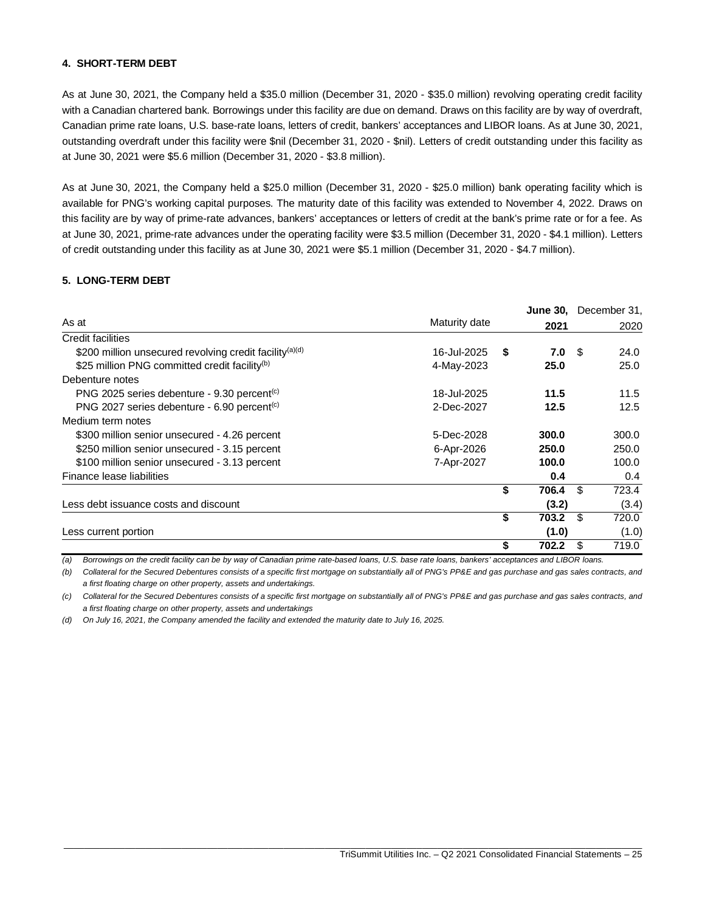# **4. SHORT-TERM DEBT**

As at June 30, 2021, the Company held a \$35.0 million (December 31, 2020 - \$35.0 million) revolving operating credit facility with a Canadian chartered bank. Borrowings under this facility are due on demand. Draws on this facility are by way of overdraft, Canadian prime rate loans, U.S. base-rate loans, letters of credit, bankers' acceptances and LIBOR loans. As at June 30, 2021, outstanding overdraft under this facility were \$nil (December 31, 2020 - \$nil). Letters of credit outstanding under this facility as at June 30, 2021 were \$5.6 million (December 31, 2020 - \$3.8 million).

As at June 30, 2021, the Company held a \$25.0 million (December 31, 2020 - \$25.0 million) bank operating facility which is available for PNG's working capital purposes. The maturity date of this facility was extended to November 4, 2022. Draws on this facility are by way of prime-rate advances, bankers' acceptances or letters of credit at the bank's prime rate or for a fee. As at June 30, 2021, prime-rate advances under the operating facility were \$3.5 million (December 31, 2020 - \$4.1 million). Letters of credit outstanding under this facility as at June 30, 2021 were \$5.1 million (December 31, 2020 - \$4.7 million).

#### **5. LONG-TERM DEBT**

|                                                                     |               |      |       |      | June 30, December 31, |
|---------------------------------------------------------------------|---------------|------|-------|------|-----------------------|
| As at                                                               | Maturity date |      | 2021  |      | 2020                  |
| Credit facilities                                                   |               |      |       |      |                       |
| \$200 million unsecured revolving credit facility <sup>(a)(d)</sup> | 16-Jul-2025   | - \$ | 7.0   | - \$ | 24.0                  |
| \$25 million PNG committed credit facility <sup>(b)</sup>           | 4-May-2023    |      | 25.0  |      | 25.0                  |
| Debenture notes                                                     |               |      |       |      |                       |
| PNG 2025 series debenture - 9.30 percent <sup>(c)</sup>             | 18-Jul-2025   |      | 11.5  |      | 11.5                  |
| PNG 2027 series debenture - 6.90 percent <sup>(c)</sup>             | 2-Dec-2027    |      | 12.5  |      | 12.5                  |
| Medium term notes                                                   |               |      |       |      |                       |
| \$300 million senior unsecured - 4.26 percent                       | 5-Dec-2028    |      | 300.0 |      | 300.0                 |
| \$250 million senior unsecured - 3.15 percent                       | 6-Apr-2026    |      | 250.0 |      | 250.0                 |
| \$100 million senior unsecured - 3.13 percent                       | 7-Apr-2027    |      | 100.0 |      | 100.0                 |
| Finance lease liabilities                                           |               |      | 0.4   |      | 0.4                   |
|                                                                     |               | \$   | 706.4 | -\$  | 723.4                 |
| Less debt issuance costs and discount                               |               |      | (3.2) |      | (3.4)                 |
|                                                                     |               | \$   | 703.2 | -\$  | 720.0                 |
| Less current portion                                                |               |      | (1.0) |      | (1.0)                 |
|                                                                     |               | \$   | 702.2 | \$.  | 719.0                 |

*(a) Borrowings on the credit facility can be by way of Canadian prime rate-based loans, U.S. base rate loans, bankers' acceptances and LIBOR loans.*

*(b) Collateral for the Secured Debentures consists of a specific first mortgage on substantially all of PNG's PP&E and gas purchase and gas sales contracts, and a first floating charge on other property, assets and undertakings.*

*(c) Collateral for the Secured Debentures consists of a specific first mortgage on substantially all of PNG's PP&E and gas purchase and gas sales contracts, and a first floating charge on other property, assets and undertakings*

*(d) On July 16, 2021, the Company amended the facility and extended the maturity date to July 16, 2025.*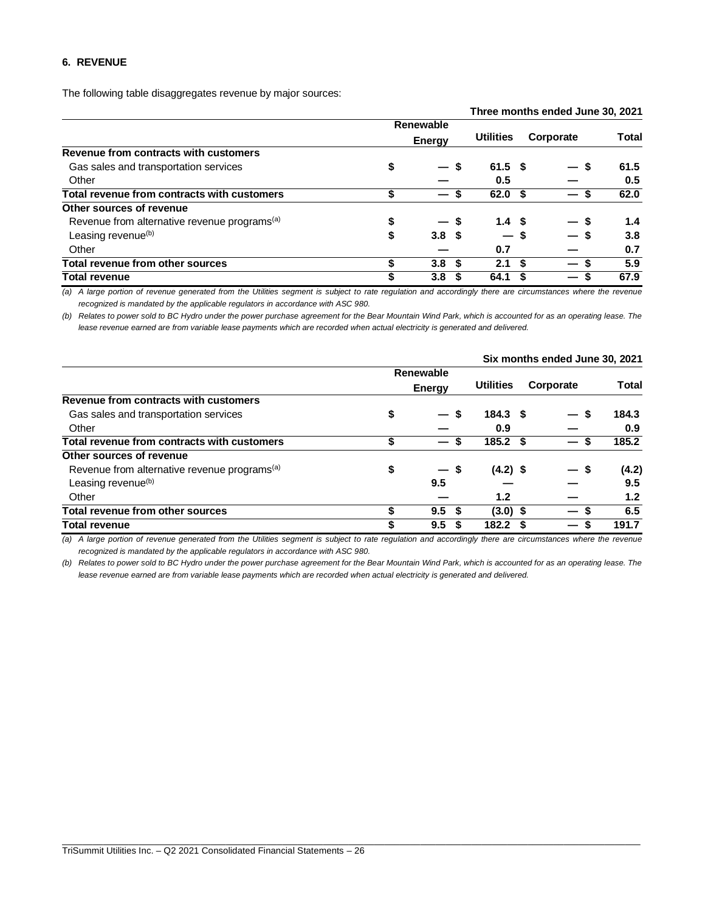#### **6. REVENUE**

The following table disaggregates revenue by major sources:

|                                                          |    |                  |                   |           | Three months enged June 30, 2021 |              |
|----------------------------------------------------------|----|------------------|-------------------|-----------|----------------------------------|--------------|
|                                                          |    | Renewable        |                   |           |                                  |              |
|                                                          |    | <b>Energy</b>    | <b>Utilities</b>  | Corporate |                                  | <b>Total</b> |
| Revenue from contracts with customers                    |    |                  |                   |           |                                  |              |
| Gas sales and transportation services                    | \$ | $-s$             | $61.5$ \$         |           | - \$                             | 61.5         |
| Other                                                    |    |                  | 0.5               |           |                                  | 0.5          |
| Total revenue from contracts with customers              | \$ | S                | 62.0 <sup>5</sup> |           | S.                               | 62.0         |
| Other sources of revenue                                 |    |                  |                   |           |                                  |              |
| Revenue from alternative revenue programs <sup>(a)</sup> | \$ | — s              | 1.4 <sup>5</sup>  |           | — s                              | 1.4          |
| Leasing revenue <sup>(b)</sup>                           | \$ | 3.8 <sup>5</sup> | — s               |           |                                  | 3.8          |
| Other                                                    |    |                  | 0.7               |           |                                  | 0.7          |
| <b>Total revenue from other sources</b>                  | S  | 3.8 <sup>5</sup> | 2.1               | - \$      | $\overline{\phantom{0}}$         | 5.9          |
| <b>Total revenue</b>                                     | \$ | 3.8              | 64.1              |           | —                                | 67.9         |

**Three months ended June 30, 2021**

*(a) A large portion of revenue generated from the Utilities segment is subject to rate regulation and accordingly there are circumstances where the revenue recognized is mandated by the applicable regulators in accordance with ASC 980.*

*(b) Relates to power sold to BC Hydro under the power purchase agreement for the Bear Mountain Wind Park, which is accounted for as an operating lease. The lease revenue earned are from variable lease payments which are recorded when actual electricity is generated and delivered.*

|                                                          |    |                 |      |                    | Six months ended June 30, 2021 |              |
|----------------------------------------------------------|----|-----------------|------|--------------------|--------------------------------|--------------|
|                                                          |    | Renewable       |      |                    |                                |              |
|                                                          |    | Energy          |      | <b>Utilities</b>   | Corporate                      | <b>Total</b> |
| Revenue from contracts with customers                    |    |                 |      |                    |                                |              |
| Gas sales and transportation services                    | \$ |                 | S    | 184.3 <sup>5</sup> | - \$                           | 184.3        |
| Other                                                    |    |                 |      | 0.9                |                                | 0.9          |
| Total revenue from contracts with customers              |    |                 |      | $185.2$ \$         | —                              | 185.2        |
| Other sources of revenue                                 |    |                 |      |                    |                                |              |
| Revenue from alternative revenue programs <sup>(a)</sup> | \$ | $\qquad \qquad$ | - \$ | $(4.2)$ \$         | — S                            | (4.2)        |
| Leasing revenue <sup>(b)</sup>                           |    | 9.5             |      |                    |                                | 9.5          |
| Other                                                    |    |                 |      | 1.2                |                                | 1.2          |
| Total revenue from other sources                         | S  | 9.5             | S    | $(3.0)$ \$         |                                | 6.5          |
| <b>Total revenue</b>                                     | \$ | 9.5             |      | 182.2              | S<br>—                         | 191.7        |

*(a) A large portion of revenue generated from the Utilities segment is subject to rate regulation and accordingly there are circumstances where the revenue recognized is mandated by the applicable regulators in accordance with ASC 980.*

*(b) Relates to power sold to BC Hydro under the power purchase agreement for the Bear Mountain Wind Park, which is accounted for as an operating lease. The lease revenue earned are from variable lease payments which are recorded when actual electricity is generated and delivered.*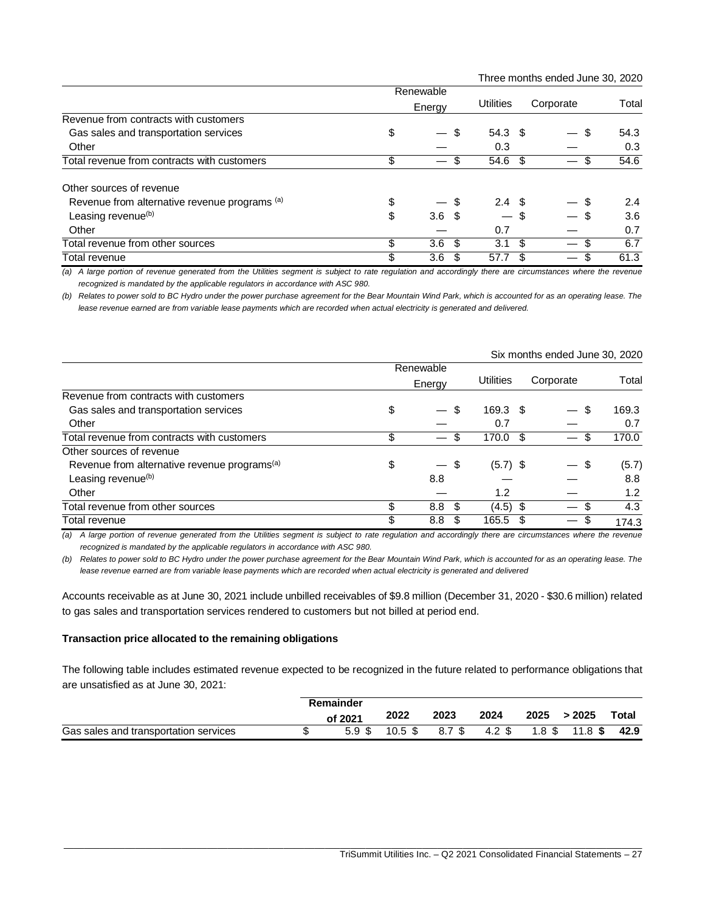Three months ended June 30, 2020

|                                               | Renewable              |                                  |      |           |       |
|-----------------------------------------------|------------------------|----------------------------------|------|-----------|-------|
|                                               | Energy                 | Utilities                        |      | Corporate | Total |
| Revenue from contracts with customers         |                        |                                  |      |           |       |
| Gas sales and transportation services         | \$                     | \$<br>$54.3$ \$                  |      | \$        | 54.3  |
| Other                                         |                        | 0.3                              |      |           | 0.3   |
| Total revenue from contracts with customers   | \$                     | S<br>54.6                        | -\$  | S         | 54.6  |
| Other sources of revenue                      |                        |                                  |      |           |       |
| Revenue from alternative revenue programs (a) | \$<br>— \$             | 2.4 <sup>5</sup>                 |      |           | 2.4   |
| Leasing revenue <sup>(b)</sup>                | \$<br>3.6 <sup>5</sup> | $\overbrace{\phantom{12322111}}$ | - \$ |           | 3.6   |
| Other                                         |                        | 0.7                              |      |           | 0.7   |
| Total revenue from other sources              | \$<br>3.6 <sup>5</sup> | 3.1                              | \$   | \$        | 6.7   |
| Total revenue                                 | \$<br>3.6              | 57.7                             |      | S         | 61.3  |

*(a) A large portion of revenue generated from the Utilities segment is subject to rate regulation and accordingly there are circumstances where the revenue recognized is mandated by the applicable regulators in accordance with ASC 980.*

*(b) Relates to power sold to BC Hydro under the power purchase agreement for the Bear Mountain Wind Park, which is accounted for as an operating lease. The lease revenue earned are from variable lease payments which are recorded when actual electricity is generated and delivered.*

|                                                          |                        |     |            |    | Six months ended June 30, 2020          |       |  |  |
|----------------------------------------------------------|------------------------|-----|------------|----|-----------------------------------------|-------|--|--|
|                                                          | Renewable              |     |            |    |                                         |       |  |  |
|                                                          | Energy                 |     | Utilities  |    | Corporate                               | Total |  |  |
| Revenue from contracts with customers                    |                        |     |            |    |                                         |       |  |  |
| Gas sales and transportation services                    | \$<br>$-$ \$           |     | $169.3$ \$ |    | \$<br>$\overbrace{\phantom{aaaaa}}^{a}$ | 169.3 |  |  |
| Other                                                    |                        |     | 0.7        |    |                                         | 0.7   |  |  |
| Total revenue from contracts with customers              | \$                     | S   | 170.0      | -S | S                                       | 170.0 |  |  |
| Other sources of revenue                                 |                        |     |            |    |                                         |       |  |  |
| Revenue from alternative revenue programs <sup>(a)</sup> | \$<br>$-$ \$           |     | $(5.7)$ \$ |    | \$                                      | (5.7) |  |  |
| Leasing revenue <sup>(b)</sup>                           | 8.8                    |     |            |    |                                         | 8.8   |  |  |
| Other                                                    |                        |     | 1.2        |    |                                         | 1.2   |  |  |
| Total revenue from other sources                         | \$<br>8.8 <sup>°</sup> |     | $(4.5)$ \$ |    | S                                       | 4.3   |  |  |
| Total revenue                                            | \$<br>8.8              | \$. | 165.5      |    | \$                                      | 174.3 |  |  |

*(a) A large portion of revenue generated from the Utilities segment is subject to rate regulation and accordingly there are circumstances where the revenue recognized is mandated by the applicable regulators in accordance with ASC 980.*

*(b) Relates to power sold to BC Hydro under the power purchase agreement for the Bear Mountain Wind Park, which is accounted for as an operating lease. The lease revenue earned are from variable lease payments which are recorded when actual electricity is generated and delivered*

Accounts receivable as at June 30, 2021 include unbilled receivables of \$9.8 million (December 31, 2020 - \$30.6 million) related to gas sales and transportation services rendered to customers but not billed at period end.

#### **Transaction price allocated to the remaining obligations**

The following table includes estimated revenue expected to be recognized in the future related to performance obligations that are unsatisfied as at June 30, 2021:

|                                       | Remainder |      |      |                                                  |             |       |
|---------------------------------------|-----------|------|------|--------------------------------------------------|-------------|-------|
|                                       | of 2021   | 2022 | 2023 | 2024                                             | 2025 > 2025 | Total |
| Gas sales and transportation services |           |      |      | 5.9 \$ 10.5 \$ 8.7 \$ 4.2 \$ 1.8 \$ 11.8 \$ 42.9 |             |       |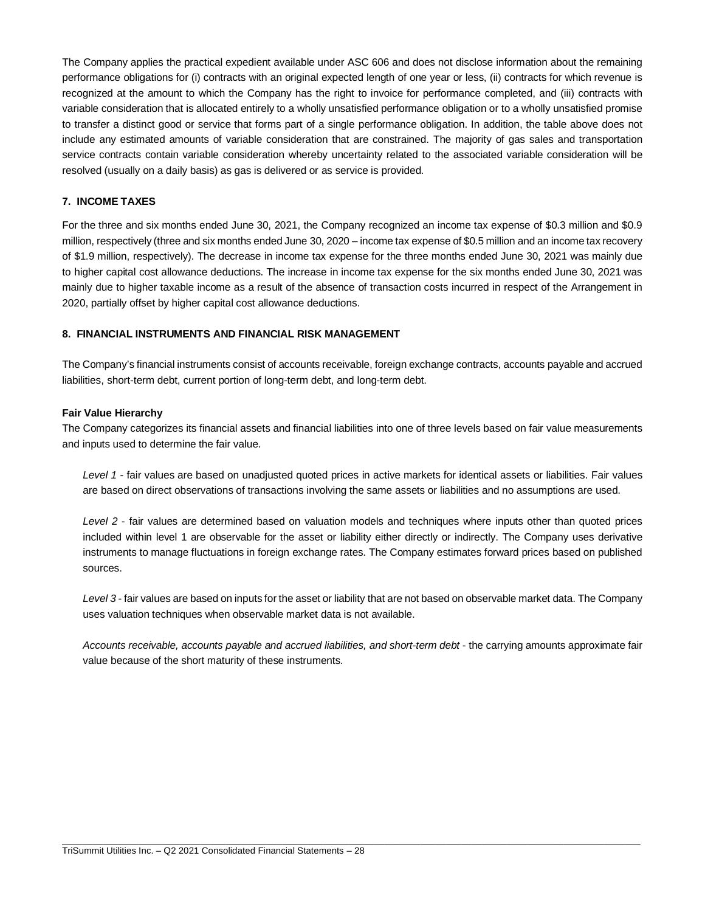The Company applies the practical expedient available under ASC 606 and does not disclose information about the remaining performance obligations for (i) contracts with an original expected length of one year or less, (ii) contracts for which revenue is recognized at the amount to which the Company has the right to invoice for performance completed, and (iii) contracts with variable consideration that is allocated entirely to a wholly unsatisfied performance obligation or to a wholly unsatisfied promise to transfer a distinct good or service that forms part of a single performance obligation. In addition, the table above does not include any estimated amounts of variable consideration that are constrained. The majority of gas sales and transportation service contracts contain variable consideration whereby uncertainty related to the associated variable consideration will be resolved (usually on a daily basis) as gas is delivered or as service is provided.

# **7. INCOME TAXES**

For the three and six months ended June 30, 2021, the Company recognized an income tax expense of \$0.3 million and \$0.9 million, respectively (three and six months ended June 30, 2020 – income tax expense of \$0.5 million and an income tax recovery of \$1.9 million, respectively). The decrease in income tax expense for the three months ended June 30, 2021 was mainly due to higher capital cost allowance deductions. The increase in income tax expense for the six months ended June 30, 2021 was mainly due to higher taxable income as a result of the absence of transaction costs incurred in respect of the Arrangement in 2020, partially offset by higher capital cost allowance deductions.

# **8. FINANCIAL INSTRUMENTS AND FINANCIAL RISK MANAGEMENT**

The Company's financial instruments consist of accounts receivable, foreign exchange contracts, accounts payable and accrued liabilities, short-term debt, current portion of long-term debt, and long-term debt.

#### **Fair Value Hierarchy**

The Company categorizes its financial assets and financial liabilities into one of three levels based on fair value measurements and inputs used to determine the fair value.

*Level 1* - fair values are based on unadjusted quoted prices in active markets for identical assets or liabilities. Fair values are based on direct observations of transactions involving the same assets or liabilities and no assumptions are used.

*Level 2* - fair values are determined based on valuation models and techniques where inputs other than quoted prices included within level 1 are observable for the asset or liability either directly or indirectly. The Company uses derivative instruments to manage fluctuations in foreign exchange rates. The Company estimates forward prices based on published sources.

*Level 3* - fair values are based on inputs for the asset or liability that are not based on observable market data. The Company uses valuation techniques when observable market data is not available.

*Accounts receivable, accounts payable and accrued liabilities, and short-term debt* - the carrying amounts approximate fair value because of the short maturity of these instruments.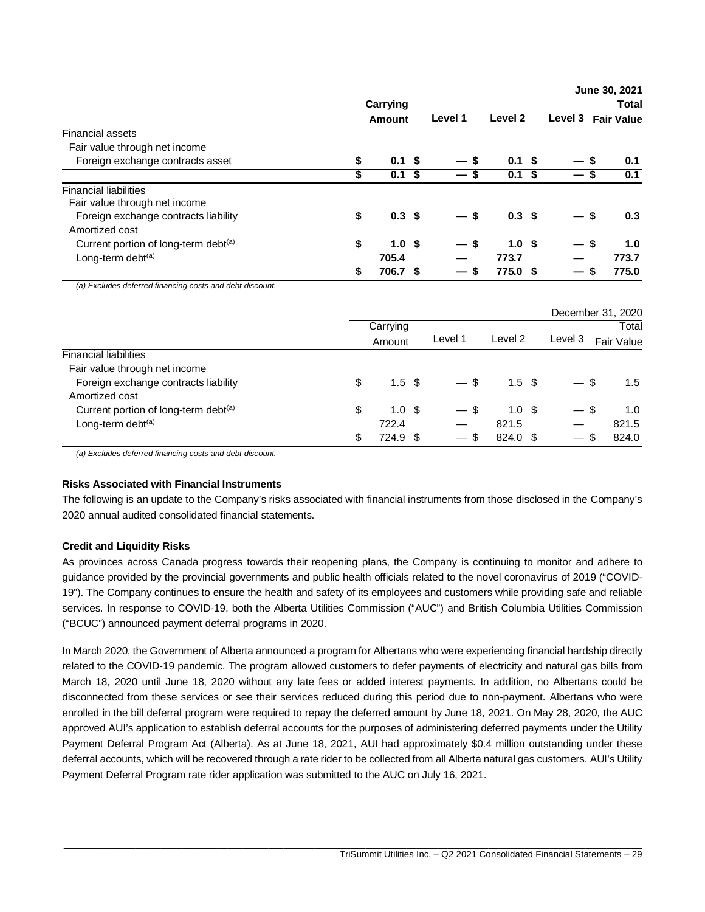|                                                         |                        |      |                                  |                  |         | June 30, 2021     |
|---------------------------------------------------------|------------------------|------|----------------------------------|------------------|---------|-------------------|
|                                                         | Carrying               |      |                                  |                  |         | <b>Total</b>      |
|                                                         | <b>Amount</b>          |      | Level 1                          | Level 2          | Level 3 | <b>Fair Value</b> |
| <b>Financial assets</b>                                 |                        |      |                                  |                  |         |                   |
| Fair value through net income                           |                        |      |                                  |                  |         |                   |
| Foreign exchange contracts asset                        | \$<br>0.1              | - \$ |                                  | 0.1 S            | — S     | 0.1               |
|                                                         | \$<br>0.1 <sup>5</sup> |      |                                  | 0.1 <sup>5</sup> |         | 0.1               |
| <b>Financial liabilities</b>                            |                        |      |                                  |                  |         |                   |
| Fair value through net income                           |                        |      |                                  |                  |         |                   |
| Foreign exchange contracts liability                    | \$<br>0.3 <sup>5</sup> |      | — \$                             | 0.3 <sup>5</sup> |         | 0.3               |
| Amortized cost                                          |                        |      |                                  |                  |         |                   |
| Current portion of long-term debt <sup>(a)</sup>        | \$<br>1.0 <sup>5</sup> |      | - \$<br>$\overline{\phantom{0}}$ | 1.0 <sup>5</sup> | —       | -\$<br>1.0        |
| Long-term debt <sup>(a)</sup>                           | 705.4                  |      |                                  | 773.7            |         | 773.7             |
|                                                         | \$<br>706.7 \$         |      | -S<br>$\overline{\phantom{0}}$   | 775.0 \$         |         | 775.0             |
| (a) Excludes deferred financing costs and debt discount |                        |      |                                  |                  |         |                   |

*(a) Excludes deferred financing costs and debt discount.*

|                                      |    |                  |                                 |                  |         | December 31, 2020     |
|--------------------------------------|----|------------------|---------------------------------|------------------|---------|-----------------------|
|                                      |    | Carrying         |                                 |                  |         | Total                 |
|                                      |    | Amount           | Level 1                         | Level 2          | Level 3 | Fair Value            |
| <b>Financial liabilities</b>         |    |                  |                                 |                  |         |                       |
| Fair value through net income        |    |                  |                                 |                  |         |                       |
| Foreign exchange contracts liability | \$ | 1.5 <sup>5</sup> | $-$ \$                          | 1.5 <sup>5</sup> |         | - \$<br>$1.5^{\circ}$ |
| Amortized cost                       |    |                  |                                 |                  |         |                       |
| Current portion of long-term debt(a) | \$ | 1.0 <sup>5</sup> | $-$ \$                          | 1.0 <sup>5</sup> | —       | -S<br>1.0             |
| Long-term debt <sup>(a)</sup>        |    | 722.4            |                                 | 821.5            |         | 821.5                 |
|                                      | S  | 724.9 \$         | -\$<br>$\overline{\phantom{0}}$ | 824.0 \$         |         | 824.0<br>-S           |

*(a) Excludes deferred financing costs and debt discount.*

#### **Risks Associated with Financial Instruments**

The following is an update to the Company's risks associated with financial instruments from those disclosed in the Company's 2020 annual audited consolidated financial statements.

# **Credit and Liquidity Risks**

As provinces across Canada progress towards their reopening plans, the Company is continuing to monitor and adhere to guidance provided by the provincial governments and public health officials related to the novel coronavirus of 2019 ("COVID-19"). The Company continues to ensure the health and safety of its employees and customers while providing safe and reliable services. In response to COVID-19, both the Alberta Utilities Commission ("AUC") and British Columbia Utilities Commission ("BCUC") announced payment deferral programs in 2020.

In March 2020, the Government of Alberta announced a program for Albertans who were experiencing financial hardship directly related to the COVID-19 pandemic. The program allowed customers to defer payments of electricity and natural gas bills from March 18, 2020 until June 18, 2020 without any late fees or added interest payments. In addition, no Albertans could be disconnected from these services or see their services reduced during this period due to non-payment. Albertans who were enrolled in the bill deferral program were required to repay the deferred amount by June 18, 2021. On May 28, 2020, the AUC approved AUI's application to establish deferral accounts for the purposes of administering deferred payments under the Utility Payment Deferral Program Act (Alberta). As at June 18, 2021, AUI had approximately \$0.4 million outstanding under these deferral accounts, which will be recovered through a rate rider to be collected from all Alberta natural gas customers. AUI's Utility Payment Deferral Program rate rider application was submitted to the AUC on July 16, 2021.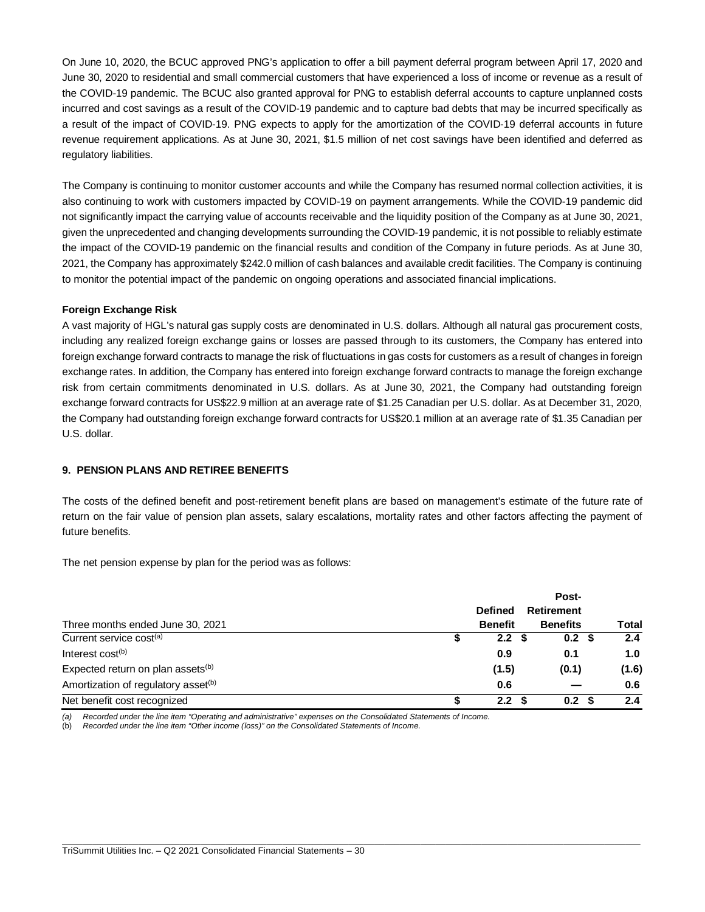On June 10, 2020, the BCUC approved PNG's application to offer a bill payment deferral program between April 17, 2020 and June 30, 2020 to residential and small commercial customers that have experienced a loss of income or revenue as a result of the COVID-19 pandemic. The BCUC also granted approval for PNG to establish deferral accounts to capture unplanned costs incurred and cost savings as a result of the COVID-19 pandemic and to capture bad debts that may be incurred specifically as a result of the impact of COVID-19. PNG expects to apply for the amortization of the COVID-19 deferral accounts in future revenue requirement applications. As at June 30, 2021, \$1.5 million of net cost savings have been identified and deferred as regulatory liabilities.

The Company is continuing to monitor customer accounts and while the Company has resumed normal collection activities, it is also continuing to work with customers impacted by COVID-19 on payment arrangements. While the COVID-19 pandemic did not significantly impact the carrying value of accounts receivable and the liquidity position of the Company as at June 30, 2021, given the unprecedented and changing developments surrounding the COVID-19 pandemic, it is not possible to reliably estimate the impact of the COVID-19 pandemic on the financial results and condition of the Company in future periods. As at June 30, 2021, the Company has approximately \$242.0 million of cash balances and available credit facilities. The Company is continuing to monitor the potential impact of the pandemic on ongoing operations and associated financial implications.

# **Foreign Exchange Risk**

A vast majority of HGL's natural gas supply costs are denominated in U.S. dollars. Although all natural gas procurement costs, including any realized foreign exchange gains or losses are passed through to its customers, the Company has entered into foreign exchange forward contracts to manage the risk of fluctuations in gas costs for customers as a result of changes in foreign exchange rates. In addition, the Company has entered into foreign exchange forward contracts to manage the foreign exchange risk from certain commitments denominated in U.S. dollars. As at June 30, 2021, the Company had outstanding foreign exchange forward contracts for US\$22.9 million at an average rate of \$1.25 Canadian per U.S. dollar. As at December 31, 2020, the Company had outstanding foreign exchange forward contracts for US\$20.1 million at an average rate of \$1.35 Canadian per U.S. dollar.

# **9. PENSION PLANS AND RETIREE BENEFITS**

The costs of the defined benefit and post-retirement benefit plans are based on management's estimate of the future rate of return on the fair value of pension plan assets, salary escalations, mortality rates and other factors affecting the payment of future benefits.

The net pension expense by plan for the period was as follows:

|                                                 |   |                | Post-             |       |
|-------------------------------------------------|---|----------------|-------------------|-------|
|                                                 |   | <b>Defined</b> | <b>Retirement</b> |       |
| Three months ended June 30, 2021                |   | <b>Benefit</b> | <b>Benefits</b>   | Total |
| Current service cost <sup>(a)</sup>             |   | 2.2            | 0.2 <sup>5</sup>  | 2.4   |
| Interest cost <sup>(b)</sup>                    |   | 0.9            | 0.1               | 1.0   |
| Expected return on plan assets <sup>(b)</sup>   |   | (1.5)          | (0.1)             | (1.6) |
| Amortization of regulatory asset <sup>(b)</sup> |   | 0.6            |                   | 0.6   |
| Net benefit cost recognized                     | S | 2.2            | 0.2 <sup>5</sup>  | 2.4   |

\_\_\_\_\_\_\_\_\_\_\_\_\_\_\_\_\_\_\_\_\_\_\_\_\_\_\_\_\_\_\_\_\_\_\_\_\_\_\_\_\_\_\_\_\_\_\_\_\_\_\_\_\_\_\_\_\_\_\_\_\_\_\_\_\_\_\_\_\_\_\_\_\_\_\_\_\_\_\_\_\_\_\_\_\_\_\_\_\_\_\_\_\_\_\_\_\_\_\_\_\_\_\_\_\_\_\_\_\_\_\_\_\_

*(a) Recorded under the line item "Operating and administrative" expenses on the Consolidated Statements of Income.*

(b) *Recorded under the line item "Other income (loss)" on the Consolidated Statements of Income.*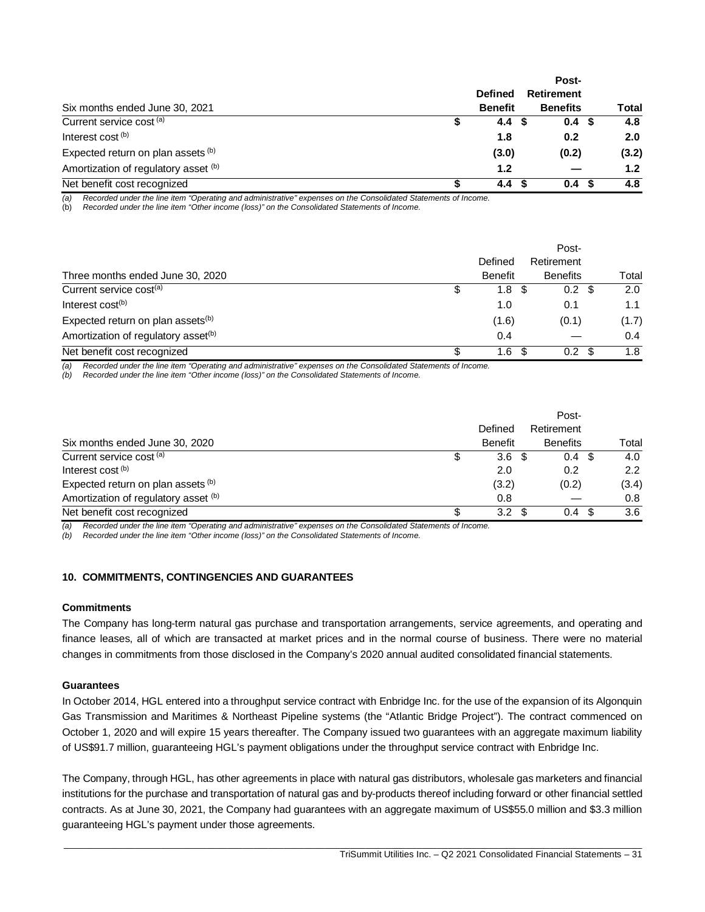|                                      | Post-          |                   |  |                  |  |  |  |
|--------------------------------------|----------------|-------------------|--|------------------|--|--|--|
|                                      | <b>Defined</b> | <b>Retirement</b> |  |                  |  |  |  |
| Six months ended June 30, 2021       | <b>Benefit</b> | <b>Benefits</b>   |  | <b>Total</b>     |  |  |  |
| Current service cost <sup>(a)</sup>  | 4.4            | 0.4 <sup>5</sup>  |  | 4.8              |  |  |  |
| Interest cost (b)                    | 1.8            | 0.2               |  | 2.0              |  |  |  |
| Expected return on plan assets (b)   | (3.0)          | (0.2)             |  | (3.2)            |  |  |  |
| Amortization of regulatory asset (b) | 1.2            |                   |  | 1.2 <sub>2</sub> |  |  |  |
| Net benefit cost recognized          | 4.4            | 0.4               |  | 4.8              |  |  |  |

*(a) Recorded under the line item "Operating and administrative" expenses on the Consolidated Statements of Income.*

(b) *Recorded under the line item "Other income (loss)" on the Consolidated Statements of Income.*

|                                                 |   | Post-          |  |                  |  |       |  |  |  |
|-------------------------------------------------|---|----------------|--|------------------|--|-------|--|--|--|
|                                                 |   | Defined        |  | Retirement       |  |       |  |  |  |
| Three months ended June 30, 2020                |   | <b>Benefit</b> |  | <b>Benefits</b>  |  | Total |  |  |  |
| Current service cost <sup>(a)</sup>             |   | 1.8            |  | $0.2 \text{ } $$ |  | 2.0   |  |  |  |
| Interest $cost(b)$                              |   | 1.0            |  | 0.1              |  | 1.1   |  |  |  |
| Expected return on plan assets <sup>(b)</sup>   |   | (1.6)          |  | (0.1)            |  | (1.7) |  |  |  |
| Amortization of regulatory asset <sup>(b)</sup> |   | 0.4            |  |                  |  | 0.4   |  |  |  |
| Net benefit cost recognized                     | S | 1.6            |  | 0.2              |  | 1.8   |  |  |  |

*(a) Recorded under the line item "Operating and administrative" expenses on the Consolidated Statements of Income.*

*(b) Recorded under the line item "Other income (loss)" on the Consolidated Statements of Income.*

|                                      | Post-            |                  |               |  |  |  |  |
|--------------------------------------|------------------|------------------|---------------|--|--|--|--|
|                                      | Defined          | Retirement       |               |  |  |  |  |
| Six months ended June 30, 2020       | <b>Benefit</b>   | <b>Benefits</b>  | Total         |  |  |  |  |
| Current service cost (a)             | 3.6 <sup>5</sup> | 0.4 <sup>5</sup> | 4.0           |  |  |  |  |
| Interest cost <sup>(b)</sup>         | 2.0              | 0.2              | $2.2^{\circ}$ |  |  |  |  |
| Expected return on plan assets (b)   | (3.2)            | (0.2)            | (3.4)         |  |  |  |  |
| Amortization of regulatory asset (b) | 0.8              |                  | 0.8           |  |  |  |  |
| Net benefit cost recognized          | 3.2              | 0.4              | 3.6           |  |  |  |  |

*(a) Recorded under the line item "Operating and administrative" expenses on the Consolidated Statements of Income.*

*(b) Recorded under the line item "Other income (loss)" on the Consolidated Statements of Income.*

# **10. COMMITMENTS, CONTINGENCIES AND GUARANTEES**

#### **Commitments**

The Company has long-term natural gas purchase and transportation arrangements, service agreements, and operating and finance leases, all of which are transacted at market prices and in the normal course of business. There were no material changes in commitments from those disclosed in the Company's 2020 annual audited consolidated financial statements.

#### **Guarantees**

In October 2014, HGL entered into a throughput service contract with Enbridge Inc. for the use of the expansion of its Algonquin Gas Transmission and Maritimes & Northeast Pipeline systems (the "Atlantic Bridge Project"). The contract commenced on October 1, 2020 and will expire 15 years thereafter. The Company issued two guarantees with an aggregate maximum liability of US\$91.7 million, guaranteeing HGL's payment obligations under the throughput service contract with Enbridge Inc.

The Company, through HGL, has other agreements in place with natural gas distributors, wholesale gas marketers and financial institutions for the purchase and transportation of natural gas and by-products thereof including forward or other financial settled contracts. As at June 30, 2021, the Company had guarantees with an aggregate maximum of US\$55.0 million and \$3.3 million guaranteeing HGL's payment under those agreements.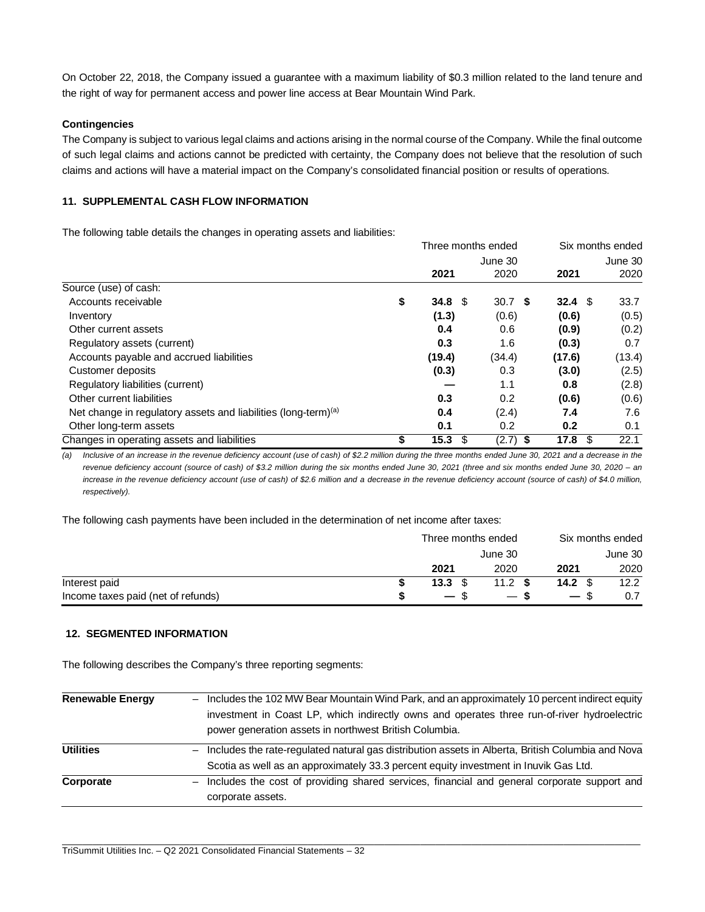On October 22, 2018, the Company issued a guarantee with a maximum liability of \$0.3 million related to the land tenure and the right of way for permanent access and power line access at Bear Mountain Wind Park.

### **Contingencies**

The Company is subject to various legal claims and actions arising in the normal course of the Company. While the final outcome of such legal claims and actions cannot be predicted with certainty, the Company does not believe that the resolution of such claims and actions will have a material impact on the Company's consolidated financial position or results of operations.

### **11. SUPPLEMENTAL CASH FLOW INFORMATION**

The following table details the changes in operating assets and liabilities:

|                                                                            | Three months ended |                   | Six months ended  |         |  |
|----------------------------------------------------------------------------|--------------------|-------------------|-------------------|---------|--|
|                                                                            |                    | June 30           |                   | June 30 |  |
|                                                                            | 2021               | 2020              | 2021              | 2020    |  |
| Source (use) of cash:                                                      |                    |                   |                   |         |  |
| Accounts receivable                                                        | \$<br>34.8 $$$     | 30.7 <sup>5</sup> | 32.4 <sup>5</sup> | 33.7    |  |
| Inventory                                                                  | (1.3)              | (0.6)             | (0.6)             | (0.5)   |  |
| Other current assets                                                       | 0.4                | 0.6               | (0.9)             | (0.2)   |  |
| Regulatory assets (current)                                                | 0.3                | 1.6               | (0.3)             | 0.7     |  |
| Accounts payable and accrued liabilities                                   | (19.4)             | (34.4)            | (17.6)            | (13.4)  |  |
| Customer deposits                                                          | (0.3)              | 0.3               | (3.0)             | (2.5)   |  |
| Regulatory liabilities (current)                                           |                    | 1.1               | 0.8               | (2.8)   |  |
| Other current liabilities                                                  | 0.3                | 0.2               | (0.6)             | (0.6)   |  |
| Net change in regulatory assets and liabilities (long-term) <sup>(a)</sup> | 0.4                | (2.4)             | 7.4               | 7.6     |  |
| Other long-term assets                                                     | 0.1                | 0.2               | 0.2               | 0.1     |  |
| Changes in operating assets and liabilities                                | \$<br>15.3<br>\$   | $(2.7)$ \$        | 17.8<br>- \$      | 22.1    |  |

*(a) Inclusive of an increase in the revenue deficiency account (use of cash) of \$2.2 million during the three months ended June 30, 2021 and a decrease in the revenue deficiency account (source of cash) of \$3.2 million during the six months ended June 30, 2021 (three and six months ended June 30, 2020 – an increase in the revenue deficiency account (use of cash) of \$2.6 million and a decrease in the revenue deficiency account (source of cash) of \$4.0 million, respectively).*

The following cash payments have been included in the determination of net income after taxes:

|                                    | Three months ended |                 |                 |      |  |
|------------------------------------|--------------------|-----------------|-----------------|------|--|
|                                    |                    | June 30         | June 30         |      |  |
|                                    | 2021               | 2020            | 2021            | 2020 |  |
| Interest paid                      | 13.3               | 11.2 $\sqrt{s}$ | 14.2 $\sqrt{3}$ | 12.2 |  |
| Income taxes paid (net of refunds) | $-$ \$             | — \$            | $-$ \$          |      |  |

# **12. SEGMENTED INFORMATION**

The following describes the Company's three reporting segments:

| <b>Renewable Energy</b> | Includes the 102 MW Bear Mountain Wind Park, and an approximately 10 percent indirect equity             |
|-------------------------|----------------------------------------------------------------------------------------------------------|
|                         | investment in Coast LP, which indirectly owns and operates three run-of-river hydroelectric              |
|                         | power generation assets in northwest British Columbia.                                                   |
| <b>Utilities</b>        | Includes the rate-regulated natural gas distribution assets in Alberta, British Columbia and Nova<br>$-$ |
|                         | Scotia as well as an approximately 33.3 percent equity investment in Inuvik Gas Ltd.                     |
| Corporate               | - Includes the cost of providing shared services, financial and general corporate support and            |
|                         | corporate assets.                                                                                        |
|                         |                                                                                                          |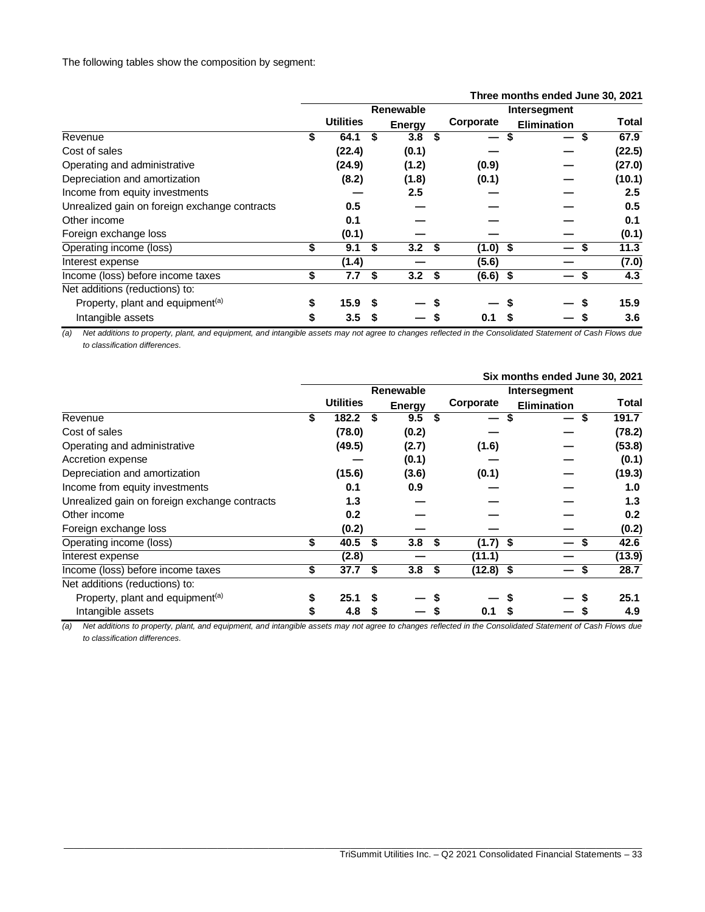The following tables show the composition by segment:

|                                               |           |                  |    |        |     |                          | Three months ended June 30, 2021 |  |                  |
|-----------------------------------------------|-----------|------------------|----|--------|-----|--------------------------|----------------------------------|--|------------------|
|                                               | Renewable |                  |    |        |     | Intersegment             |                                  |  |                  |
|                                               |           | <b>Utilities</b> |    | Energy |     | Corporate                | <b>Elimination</b>               |  | <b>Total</b>     |
| Revenue                                       | \$        | 64.1             | S  | 3.8    | S   | $\overline{\phantom{0}}$ | S                                |  | 67.9             |
| Cost of sales                                 |           | (22.4)           |    | (0.1)  |     |                          |                                  |  | (22.5)           |
| Operating and administrative                  |           | (24.9)           |    | (1.2)  |     | (0.9)                    |                                  |  | (27.0)           |
| Depreciation and amortization                 |           | (8.2)            |    | (1.8)  |     | (0.1)                    |                                  |  | (10.1)           |
| Income from equity investments                |           |                  |    | 2.5    |     |                          |                                  |  | $2.5\phantom{0}$ |
| Unrealized gain on foreign exchange contracts |           | 0.5              |    |        |     |                          |                                  |  | 0.5              |
| Other income                                  |           | 0.1              |    |        |     |                          |                                  |  | 0.1              |
| Foreign exchange loss                         |           | (0.1)            |    |        |     |                          |                                  |  | (0.1)            |
| Operating income (loss)                       | \$        | 9.1              | \$ | 3.2    | \$  | $(1.0)$ \$               |                                  |  | 11.3             |
| Interest expense                              |           | (1.4)            |    |        |     | (5.6)                    |                                  |  | (7.0)            |
| Income (loss) before income taxes             | \$        | 7.7              | \$ | 3.2    | -\$ | $(6.6)$ \$               |                                  |  | 4.3              |
| Net additions (reductions) to:                |           |                  |    |        |     |                          |                                  |  |                  |
| Property, plant and equipment <sup>(a)</sup>  | \$        | 15.9             |    |        |     |                          |                                  |  | 15.9             |
| Intangible assets                             | \$        | 3.5              | \$ |        |     | 0.1                      |                                  |  | 3.6              |

*(a) Net additions to property, plant, and equipment, and intangible assets may not agree to changes reflected in the Consolidated Statement of Cash Flows due to classification differences.*

|                                               | Six months ended June 30, 2021 |                  |    |                  |     |             |                    |              |  |
|-----------------------------------------------|--------------------------------|------------------|----|------------------|-----|-------------|--------------------|--------------|--|
|                                               | <b>Renewable</b>               |                  |    |                  |     |             |                    |              |  |
|                                               |                                | <b>Utilities</b> |    | <b>Energy</b>    |     | Corporate   | <b>Elimination</b> | <b>Total</b> |  |
| Revenue                                       | \$                             | 182.2            |    | 9.5              | S   |             |                    | 191.7<br>S   |  |
| Cost of sales                                 |                                | (78.0)           |    | (0.2)            |     |             |                    | (78.2)       |  |
| Operating and administrative                  |                                | (49.5)           |    | (2.7)            |     | (1.6)       |                    | (53.8)       |  |
| Accretion expense                             |                                |                  |    | (0.1)            |     |             |                    | (0.1)        |  |
| Depreciation and amortization                 |                                | (15.6)           |    | (3.6)            |     | (0.1)       |                    | (19.3)       |  |
| Income from equity investments                |                                | 0.1              |    | 0.9              |     |             |                    | 1.0          |  |
| Unrealized gain on foreign exchange contracts |                                | 1.3              |    |                  |     |             |                    | 1.3          |  |
| Other income                                  |                                | 0.2              |    |                  |     |             |                    | 0.2          |  |
| Foreign exchange loss                         |                                | (0.2)            |    |                  |     |             |                    | (0.2)        |  |
| Operating income (loss)                       | \$                             | 40.5             | S  | 3.8 <sup>5</sup> |     | $(1.7)$ \$  |                    | 42.6         |  |
| Interest expense                              |                                | (2.8)            |    |                  |     | (11.1)      |                    | (13.9)       |  |
| Income (loss) before income taxes             | \$                             | 37.7             | \$ | 3.8              | -\$ | $(12.8)$ \$ |                    | 28.7<br>S    |  |
| Net additions (reductions) to:                |                                |                  |    |                  |     |             |                    |              |  |
| Property, plant and equipment <sup>(a)</sup>  | S                              | 25.1             |    |                  |     |             |                    | 25.1         |  |
| Intangible assets                             | \$                             | 4.8              |    |                  |     | 0.1         |                    | 4.9          |  |

*(a) Net additions to property, plant, and equipment, and intangible assets may not agree to changes reflected in the Consolidated Statement of Cash Flows due to classification differences.*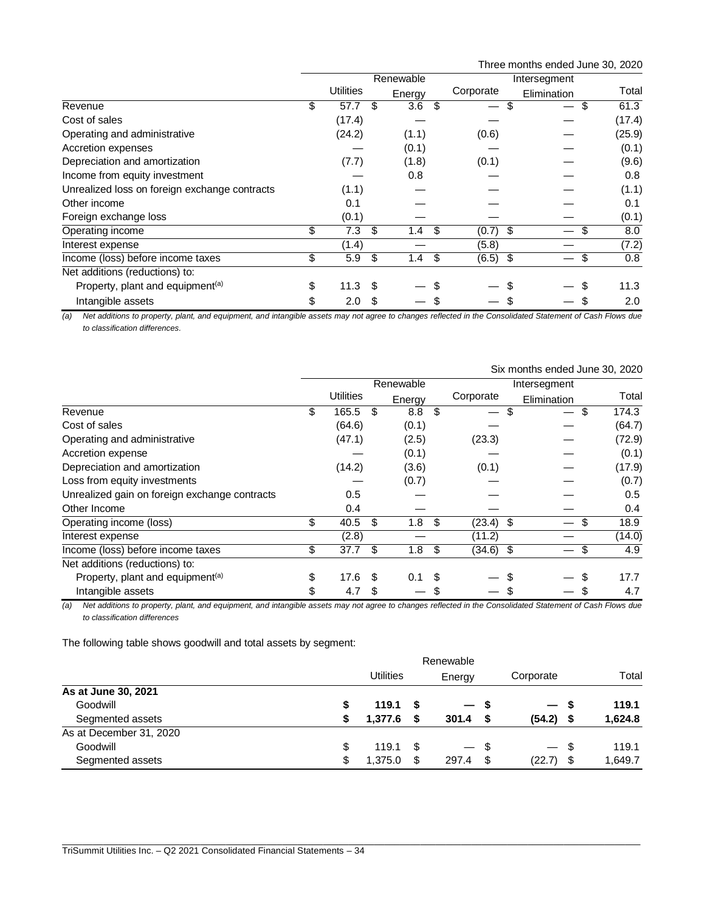Three months ended June 30, 2020

|                                               | Renewable        |    |        |    |            |             |    |        |
|-----------------------------------------------|------------------|----|--------|----|------------|-------------|----|--------|
|                                               | <b>Utilities</b> |    | Energy |    | Corporate  | Elimination |    | Total  |
| Revenue                                       | \$<br>57.7       | S  | 3.6    | S  |            |             | \$ | 61.3   |
| Cost of sales                                 | (17.4)           |    |        |    |            |             |    | (17.4) |
| Operating and administrative                  | (24.2)           |    | (1.1)  |    | (0.6)      |             |    | (25.9) |
| Accretion expenses                            |                  |    | (0.1)  |    |            |             |    | (0.1)  |
| Depreciation and amortization                 | (7.7)            |    | (1.8)  |    | (0.1)      |             |    | (9.6)  |
| Income from equity investment                 |                  |    | 0.8    |    |            |             |    | 0.8    |
| Unrealized loss on foreign exchange contracts | (1.1)            |    |        |    |            |             |    | (1.1)  |
| Other income                                  | 0.1              |    |        |    |            |             |    | 0.1    |
| Foreign exchange loss                         | (0.1)            |    |        |    |            |             |    | (0.1)  |
| Operating income                              | \$<br>7.3        | \$ | 1.4    | \$ | $(0.7)$ \$ |             | S  | 8.0    |
| Interest expense                              | (1.4)            |    |        |    | (5.8)      |             |    | (7.2)  |
| Income (loss) before income taxes             | \$<br>5.9        | \$ | 1.4    | \$ | $(6.5)$ \$ |             | \$ | 0.8    |
| Net additions (reductions) to:                |                  |    |        |    |            |             |    |        |
| Property, plant and equipment <sup>(a)</sup>  | \$<br>11.3       | S  |        | S  |            |             |    | 11.3   |
| Intangible assets                             | \$<br>2.0        | \$ |        |    |            |             |    | 2.0    |

*(a) Net additions to property, plant, and equipment, and intangible assets may not agree to changes reflected in the Consolidated Statement of Cash Flows due to classification differences.*

|                                               |           | Six months ended June 30, 2020 |      |                  |      |             |              |            |  |  |
|-----------------------------------------------|-----------|--------------------------------|------|------------------|------|-------------|--------------|------------|--|--|
|                                               | Renewable |                                |      |                  |      |             | Intersegment |            |  |  |
|                                               |           | <b>Utilities</b>               |      | Energy           |      | Corporate   | Elimination  | Total      |  |  |
| Revenue                                       | \$        | 165.5                          | S    | 8.8              | \$   | S           |              | 174.3<br>S |  |  |
| Cost of sales                                 |           | (64.6)                         |      | (0.1)            |      |             |              | (64.7)     |  |  |
| Operating and administrative                  |           | (47.1)                         |      | (2.5)            |      | (23.3)      |              | (72.9)     |  |  |
| Accretion expense                             |           |                                |      | (0.1)            |      |             |              | (0.1)      |  |  |
| Depreciation and amortization                 |           | (14.2)                         |      | (3.6)            |      | (0.1)       |              | (17.9)     |  |  |
| Loss from equity investments                  |           |                                |      | (0.7)            |      |             |              | (0.7)      |  |  |
| Unrealized gain on foreign exchange contracts |           | 0.5                            |      |                  |      |             |              | 0.5        |  |  |
| Other Income                                  |           | 0.4                            |      |                  |      |             |              | 0.4        |  |  |
| Operating income (loss)                       | \$        | 40.5                           | \$   | 1.8              | - \$ | $(23.4)$ \$ |              | 18.9<br>S  |  |  |
| Interest expense                              |           | (2.8)                          |      |                  |      | (11.2)      |              | (14.0)     |  |  |
| Income (loss) before income taxes             | \$        | 37.7                           | \$   | 1.8              | -\$  | $(34.6)$ \$ |              | \$<br>4.9  |  |  |
| Net additions (reductions) to:                |           |                                |      |                  |      |             |              |            |  |  |
| Property, plant and equipment <sup>(a)</sup>  | \$        | 17.6                           | - \$ | 0.1 <sup>5</sup> |      |             |              | 17.7       |  |  |
| Intangible assets                             | \$        | 4.7                            | S    |                  | S    |             |              | 4.7        |  |  |

*(a) Net additions to property, plant, and equipment, and intangible assets may not agree to changes reflected in the Consolidated Statement of Cash Flows due to classification differences*

The following table shows goodwill and total assets by segment:

|                         | Renewable |                  |      |        |      |                          |      |         |
|-------------------------|-----------|------------------|------|--------|------|--------------------------|------|---------|
|                         |           | <b>Utilities</b> |      | Energy |      | Corporate                |      | Total   |
| As at June 30, 2021     |           |                  |      |        |      |                          |      |         |
| Goodwill                | \$        | 119.1            |      | — s    |      | $\overline{\phantom{0}}$ | - \$ | 119.1   |
| Segmented assets        | S         | 1,377.6          | S    | 301.4  |      | (54.2)                   | £.   | 1,624.8 |
| As at December 31, 2020 |           |                  |      |        |      |                          |      |         |
| Goodwill                | \$        | 119.1            | - \$ | $-$ \$ |      | $-$ \$                   |      | 119.1   |
| Segmented assets        | \$        | 1,375.0          | S    | 297.4  | - \$ | (22.7)                   | \$   | 1,649.7 |